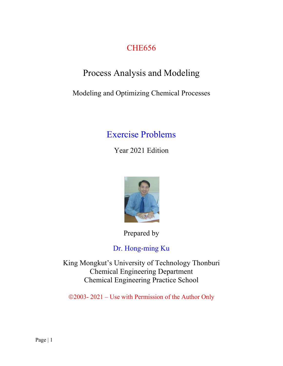# CHE656

# Process Analysis and Modeling

# Modeling and Optimizing Chemical Processes

# Exercise Problems

Year 2021 Edition



Prepared by

Dr. Hong-ming Ku

King Mongkut's University of Technology Thonburi Chemical Engineering Department Chemical Engineering Practice School

2003- 2021 – Use with Permission of the Author Only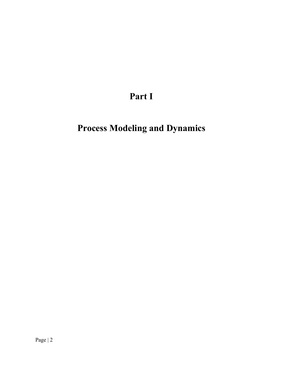**Part I**

# **Process Modeling and Dynamics**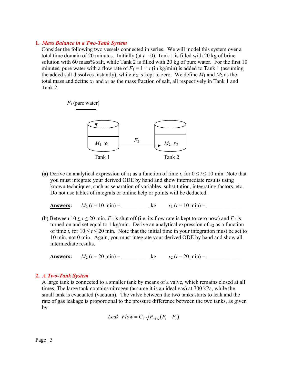# **1.** *Mass Balance in a Two-Tank System*

Consider the following two vessels connected in series. We will model this system over a total time domain of 20 minutes. Initially (at  $t = 0$ ), Tank 1 is filled with 20 kg of brine solution with 60 mass% salt, while Tank 2 is filled with 20 kg of pure water. For the first 10 minutes, pure water with a flow rate of  $F_1 = 1 + t$  (in kg/min) is added to Tank 1 (assuming the added salt dissolves instantly), while  $F_2$  is kept to zero. We define  $M_1$  and  $M_2$  as the total mass and define  $x_1$  and  $x_2$  as the mass fraction of salt, all respectively in Tank 1 and Tank 2.



(a) Derive an analytical expression of  $x_1$  as a function of time *t*, for  $0 \le t \le 10$  min. Note that you must integrate your derived ODE by hand and show intermediate results using known techniques, such as separation of variables, substitution, integrating factors, etc. Do not use tables of integrals or online help or points will be deducted.

**Answers:**  $M_1 (t = 10 \text{ min}) =$  kg  $x_1 (t = 10 \text{ min}) =$ 

(b) Between  $10 \le t \le 20$  min,  $F_1$  is shut off (i.e. its flow rate is kept to zero now) and  $F_2$  is turned on and set equal to 1 kg/min. Derive an analytical expression of  $x_2$  as a function of time *t*, for  $10 \le t \le 20$  min. Note that the initial time in your integration must be set to 10 min, not 0 min. Again, you must integrate your derived ODE by hand and show all intermediate results.

**Answers:** *M*<sup>2</sup> (*t* = 20 min) = \_\_\_\_\_\_\_\_\_\_ kg *x*<sup>2</sup> (*t* = 20 min) = \_\_\_\_\_\_\_\_\_\_\_\_

# **2.** *A Two-Tank System*

A large tank is connected to a smaller tank by means of a valve, which remains closed at all times. The large tank contains nitrogen (assume it is an ideal gas) at 700 kPa, while the small tank is evacuated (vacuum). The valve between the two tanks starts to leak and the rate of gas leakage is proportional to the pressure difference between the two tanks, as given by

$$
Leak \ Flow = C_V \sqrt{P_{AVG}(P_1 - P_2)}
$$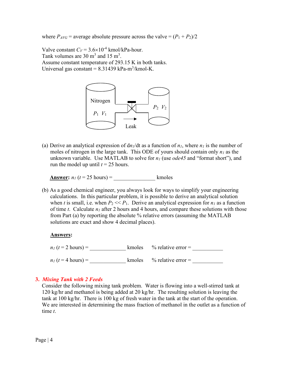where  $P_{AVG}$  = average absolute pressure across the valve =  $(P_1 + P_2)/2$ 

Valve constant  $C_V = 3.6 \times 10^{-4}$  kmol/kPa-hour. Tank volumes are  $30 \text{ m}^3$  and  $15 \text{ m}^3$ . Assume constant temperature of 293.15 K in both tanks. Universal gas constant =  $8.31439$  kPa-m<sup>3</sup>/kmol-K.



(a) Derive an analytical expression of  $dn_l/dt$  as a function of  $n_l$ , where  $n_l$  is the number of moles of nitrogen in the large tank. This ODE of yours should contain only  $n_1$  as the unknown variable. Use MATLAB to solve for  $n_l$  (use  $ode45$  and "format short"), and run the model up until  $t = 25$  hours.

**Answer:**  $n_l$  ( $t = 25$  hours) =  $\qquad$  kmoles

(b) As a good chemical engineer, you always look for ways to simplify your engineering calculations. In this particular problem, it is possible to derive an analytical solution when *t* is small, i.e. when  $P_2 \ll P_1$ . Derive an analytical expression for  $n_1$  as a function of time *t*. Calculate *n1* after 2 hours and 4 hours, and compare these solutions with those from Part (a) by reporting the absolute % relative errors (assuming the MATLAB solutions are exact and show 4 decimal places).

# **Answers:**

*n1* (*t* = 2 hours) = \_\_\_\_\_\_\_\_\_\_\_\_\_ kmoles % relative error = \_\_\_\_\_\_\_\_\_\_\_  $n_l$  ( $t = 4$  hours) =  $\qquad \qquad$  kmoles % relative error =

# **3.** *Mixing Tank with 2 Feeds*

Consider the following mixing tank problem. Water is flowing into a well-stirred tank at 120 kg/hr and methanol is being added at 20 kg/hr. The resulting solution is leaving the tank at 100 kg/hr. There is 100 kg of fresh water in the tank at the start of the operation. We are interested in determining the mass fraction of methanol in the outlet as a function of time *t*.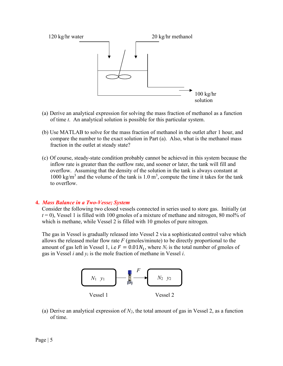

- (a) Derive an analytical expression for solving the mass fraction of methanol as a function of time *t*. An analytical solution is possible for this particular system.
- (b) Use MATLAB to solve for the mass fraction of methanol in the outlet after 1 hour, and compare the number to the exact solution in Part (a). Also, what is the methanol mass fraction in the outlet at steady state?
- (c) Of course, steady-state condition probably cannot be achieved in this system because the inflow rate is greater than the outflow rate, and sooner or later, the tank will fill and overflow. Assuming that the density of the solution in the tank is always constant at 1000 kg/m<sup>3</sup> and the volume of the tank is 1.0 m<sup>3</sup>, compute the time it takes for the tank to overflow.

# **4.** *Mass Balance in a Two-Vesse; System*

Consider the following two closed vessels connected in series used to store gas. Initially (at  $t = 0$ ), Vessel 1 is filled with 100 gmoles of a mixture of methane and nitrogen, 80 mol% of which is methane, while Vessel 2 is filled with 10 gmoles of pure nitrogen.

The gas in Vessel is gradually released into Vessel 2 via a sophisticated control valve which allows the released molar flow rate *F* (gmoles/minute) to be directly proportional to the amount of gas left in Vessel 1, i.e  $F = 0.01 N_1$ , where  $N_i$  is the total number of gmoles of gas in Vessel *i* and *yi* is the mole fraction of methane in Vessel *i*.



(a) Derive an analytical expression of *N2*, the total amount of gas in Vessel 2, as a function of time.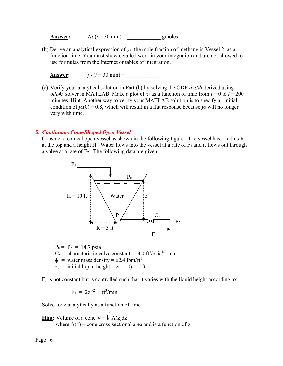**Answer:**  $N_2$  ( $t = 30$  min) = gmoles

(b) Derive an analytical expression of *y*2, the mole fraction of methane in Vessel 2, as a function time. You must show detailed work in your integration and are not allowed to use formulas from the Internet or tables of integration.

**Answer:**  $v_2$  ( $t = 30$  min) =

(c) Verify your analytical solution in Part (b) by solving the ODE  $dy_2/dt$  derived using *ode45* solver in MATLAB. Make a plot of  $x_2$  as a function of time from  $t = 0$  to  $t = 200$ minutes. Hint: Another way to verify your MATLAB solution is to specify an initial condition of  $y_2(0) = 0.8$ , which will result in a flat response because  $y_2$  will no longer vary with time.

### **5.** *Continuous Cone-Shaped Open Vessel*

Consider a conical open vessel as shown in the following figure. The vessel has a radius R at the top and a height H. Water flows into the vessel at a rate of  $F_1$  and it flows out through a valve at a rate of  $F_2$ . The following data are given:



 $P_0 = P_2 = 14.7 \text{ psia}$  $C_v$  = characteristic valve constant = 3.0 ft<sup>3</sup>/psia<sup>1/2</sup>-min  $\phi$  = water mass density = 62.4 lbm/ft<sup>3</sup>  $z_0 =$  initial liquid height =  $z(t = 0) = 5$  ft

 $F_1$  is not constant but is controlled such that it varies with the liquid height according to:

$$
F_1 = 2z^{1/2} \quad \text{ft}^3/\text{min}
$$

Solve for z analytically as a function of time.

za za zapostala za zapostala za zapostala za zapostala za zapostala za zapostala za zapostala za zapostala za<br>Zapostala za zapostala za zapostala za zapostala za zapostala za zapostala za zapostala za zapostala za zapost **Hint:** Volume of a cone V = ∫<sup>0</sup> A(z)dz where  $A(z)$  = cone cross-sectional area and is a function of z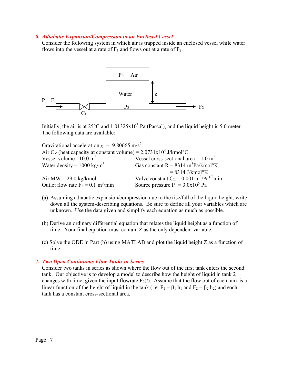# **6.** *Adiabatic Expansion/Compression in an Enclosed Vessel*

Consider the following system in which air is trapped inside an enclosed vessel while water flows into the vessel at a rate of  $F_1$  and flows out at a rate of  $F_2$ .



Initially, the air is at  $25^{\circ}$ C and  $1.01325 \times 10^5$  Pa (Pascal), and the liquid height is 5.0 meter. The following data are available:

| Gravitational acceleration $g = 9.80665$ m/s <sup>2</sup>                                   |                                                                     |
|---------------------------------------------------------------------------------------------|---------------------------------------------------------------------|
| Air C <sub>V</sub> (heat capacity at constant volume) = $2.0731x10^4$ J/kmol <sup>o</sup> C |                                                                     |
| Vessel volume = $10.0 \text{ m}^3$                                                          | Vessel cross-sectional area = $1.0 \text{ m}^2$                     |
| Water density = $1000 \text{ kg/m}^3$                                                       | Gas constant $R = 8314 \text{ m}^3\text{Pa/kmol}^{\circ}\text{K}$   |
|                                                                                             | $= 8314$ J/kmol <sup>o</sup> K                                      |
| Air MW = $29.0 \text{ kg/kmol}$                                                             | Valve constant $C_L = 0.001 \text{ m}^3/\text{Pa}^{1/2} \text{min}$ |
| Outlet flow rate $F_2 = 0.1$ m <sup>3</sup> /min                                            | Source pressure $P_1 = 3.0x10^5$ Pa                                 |

- (a) Assuming adiabatic expansion/compression due to the rise/fall of the liquid height, write down all the system-describing equations. Be sure to define all your variables which are unknown. Use the data given and simplify each equation as much as possible.
- (b) Derive an ordinary differential equation that relates the liquid height as a function of time. Your final equation must contain Z as the only dependent variable.
- (c) Solve the ODE in Part (b) using MATLAB and plot the liquid height Z as a function of time.

# **7.** *Two Open Continuous Flow Tanks in Series*

Consider two tanks in series as shown where the flow out of the first tank enters the second tank. Our objective is to develop a model to describe how the height of liquid in tank 2 changes with time, given the input flowrate  $F<sub>0</sub>(t)$ . Assume that the flow out of each tank is a linear function of the height of liquid in the tank (i.e.  $F_1 = \beta_1 h_1$  and  $F_2 = \beta_2 h_2$ ) and each tank has a constant cross-sectional area.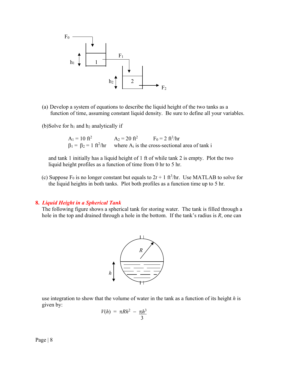

(a) Develop a system of equations to describe the liquid height of the two tanks as a function of time, assuming constant liquid density. Be sure to define all your variables.

(b)Solve for  $h_1$  and  $h_2$  analytically if

 $A_1 = 10 \text{ ft}^2$   $A_2 = 20 \text{ ft}^2$   $F_0 = 2 \text{ ft}^3/\text{hr}$  $\beta_1 = \beta_2 = 1 \text{ ft}^2/\text{hr}$  where A<sub>i</sub> is the cross-sectional area of tank i

and tank 1 initially has a liquid height of 1 ft of while tank 2 is empty. Plot the two liquid height profiles as a function of time from 0 hr to 5 hr.

(c) Suppose  $F_0$  is no longer constant but equals to  $2t + 1$  ft<sup>3</sup>/hr. Use MATLAB to solve for the liquid heights in both tanks. Plot both profiles as a function time up to 5 hr.

#### **8.** *Liquid Height in a Spherical Tank*

The following figure shows a spherical tank for storing water. The tank is filled through a hole in the top and drained through a hole in the bottom. If the tank's radius is *R*, one can



use integration to show that the volume of water in the tank as a function of its height *h* is given by:

$$
V(h) = \pi Rh^2 - \frac{\pi h^3}{3}
$$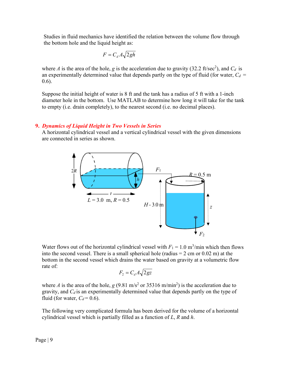Studies in fluid mechanics have identified the relation between the volume flow through the bottom hole and the liquid height as:

$$
F = C_d A \sqrt{2gh}
$$

where *A* is the area of the hole, *g* is the acceleration due to gravity (32.2 ft/sec<sup>2</sup>), and  $C_d$  is an experimentally determined value that depends partly on the type of fluid (for water,  $C_d$  = 0.6).

Suppose the initial height of water is 8 ft and the tank has a radius of 5 ft with a 1-inch diameter hole in the bottom. Use MATLAB to determine how long it will take for the tank to empty (i.e. drain completely), to the nearest second (i.e. no decimal places).

# **9.** *Dynamics of Liquid Height in Two Vessels in Series*

A horizontal cylindrical vessel and a vertical cylindrical vessel with the given dimensions are connected in series as shown.



Water flows out of the horizontal cylindrical vessel with  $F_1 = 1.0$  m<sup>3</sup>/min which then flows into the second vessel. There is a small spherical hole (radius  $= 2$  cm or 0.02 m) at the bottom in the second vessel which drains the water based on gravity at a volumetric flow rate of:

$$
F_2 = C_d A \sqrt{2gz}
$$

where *A* is the area of the hole,  $g(9.81 \text{ m/s}^2 \text{ or } 35316 \text{ m/min}^2)$  is the acceleration due to gravity, and  $C_d$  is an experimentally determined value that depends partly on the type of fluid (for water,  $C_d = 0.6$ ).

The following very complicated formula has been derived for the volume of a horizontal cylindrical vessel which is partially filled as a function of *L*, *R* and *h*.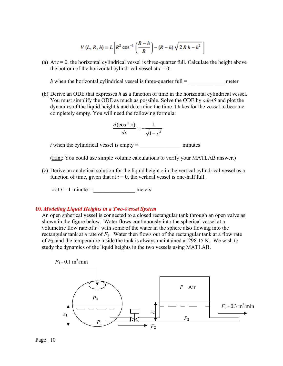$$
V(L, R, h) = L\left[ R^{2} \cos^{-1} \left( \frac{R - h}{R} \right) - (R - h) \sqrt{2 R h - h^{2}} \right]
$$

(a) At  $t = 0$ , the horizontal cylindrical vessel is three-quarter full. Calculate the height above the bottom of the horizontal cylindrical vessel at  $t = 0$ .

*h* when the horizontal cylindrical vessel is three-quarter full = \_\_\_\_\_\_\_\_\_\_\_\_\_\_\_\_ meter

(b) Derive an ODE that expresses *h* as a function of time in the horizontal cylindrical vessel. You must simplify the ODE as much as possible. Solve the ODE by *ode45* and plot the dynamics of the liquid height *h* and determine the time it takes for the vessel to become completely empty. You will need the following formula:

$$
\frac{d(\cos^{-1}x)}{dx} = -\frac{1}{\sqrt{1-x^2}}
$$

*t* when the cylindrical vessel is empty = \_\_\_\_\_\_\_\_\_\_\_\_\_\_\_ minutes

(Hint: You could use simple volume calculations to verify your MATLAB answer.)

(c) Derive an analytical solution for the liquid height *z* in the vertical cylindrical vessel as a function of time, given that at  $t = 0$ , the vertical vessel is one-half full.

*z* at  $t = 1$  minute = meters

### **10.** *Modeling Liquid Heights in a Two-Vessel System*

An open spherical vessel is connected to a closed rectangular tank through an open valve as shown in the figure below. Water flows continuously into the spherical vessel at a volumetric flow rate of  $F_1$  with some of the water in the sphere also flowing into the rectangular tank at a rate of  $F_2$ . Water then flows out of the rectangular tank at a flow rate of *F*3, and the temperature inside the tank is always maintained at 298.15 K. We wish to study the dynamics of the liquid heights in the two vessels using MATLAB.



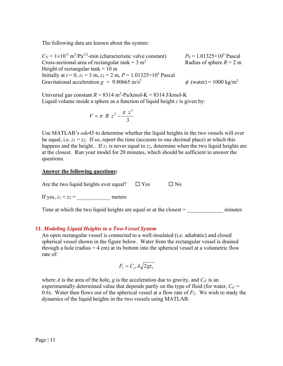The following data are known about the system:

 $C_V = 1 \times 10^{-5} \text{ m}^3/\text{Pa}^{1/2}$ -min (characteristic valve constant)  $P_0 = 1.01325 \times 10^5 \text{ Pascal}$ Cross-sectional area of rectangular tank =  $3 \text{ m}^2$  Radius of sphere  $R = 2 \text{ m}$ Height of rectangular tank  $= 10$  m Initially at  $t = 0$ ,  $z_1 = 3$  m,  $z_2 = 2$  m,  $P = 1.01325 \times 10^5$  Pascal Gravitational acceleration  $g = 9.80665 \text{ m/s}^2$   $\phi$  (water) = 1000 kg/m<sup>3</sup>

Universal gas constant  $R = 8314 \text{ m}^3\text{-Pa/kmol-K} = 8314 \text{ J/kmol-K}$ Liquid volume inside a sphere as a function of liquid height *z* is given by:

$$
V = \pi R z^2 - \frac{\pi z^3}{3}
$$

Use MATLAB's *ode*45 to determine whether the liquid heights in the two vessels will ever be equal, i.e.  $z_1 = z_2$ . If so, report the time (accurate to one decimal place) at which this happens and the height.. If  $z_1$  is never equal to  $z_2$ , determine when the two liquid heights are at the closest. Run your model for 20 minutes, which should be sufficient to answer the questions.

# **Answer the following questions:**

Are the two liquid heights ever equal?  $\Box$  Yes  $\Box$  No

If yes,  $z_1 = z_2 =$  meters

Time at which the two liquid heights are equal or at the closest  $=$  minutes

# **11.** *Modeling Liquid Heights in a Two-Vessel System*

An open rectangular vessel is connected to a well-insulated (i.e. adiabatic) and closed spherical vessel shown in the figure below. Water from the rectangular vessel is drained through a hole (radius  $= 4$  cm) at its bottom into the spherical vessel at a volumetric flow rate of:

$$
F_1 = C_d A \sqrt{2gz_1}
$$

where *A* is the area of the hole, *g* is the acceleration due to gravity, and  $C_d$  is an experimentally determined value that depends partly on the type of fluid (for water,  $C_d$  = 0.6). Water then flows out of the spherical vessel at a flow rate of  $F_2$ . We wish to study the dynamics of the liquid heights in the two vessels using MATLAB.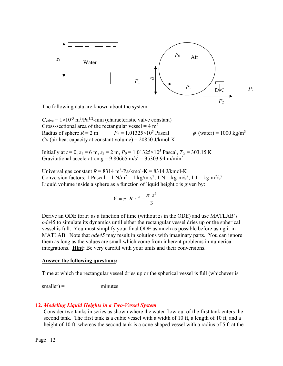

The following data are known about the system:

 $C_{\text{value}} = 1 \times 10^{-3} \text{ m}^3/\text{Pa}^{1/2}$ -min (characteristic valve constant) Cross-sectional area of the rectangular vessel =  $4 \text{ m}^2$ Radius of sphere  $R = 2$  m  $P_2 = 1.01325 \times 10^5$  Pascal  $\phi$  (water) = 1000 kg/m<sup>3</sup>  $C_V$  (air heat capacity at constant volume) = 20850 J/kmol-K

Initially at  $t = 0$ ,  $z_1 = 6$  m,  $z_2 = 2$  m,  $P_0 = 1.01325 \times 10^5$  Pascal,  $T_G = 303.15$  K Gravitational acceleration  $g = 9.80665$  m/s<sup>2</sup> = 35303.94 m/min<sup>2</sup>

Universal gas constant  $R = 8314 \text{ m}^3\text{-Pa/kmol-K} = 8314 \text{ J/kmol-K}$ Conversion factors: 1 Pascal = 1 N/m<sup>2</sup> = 1 kg/m-s<sup>2</sup>, 1 N = kg-m/s<sup>2</sup>, 1 J = kg-m<sup>2</sup>/s<sup>2</sup> Liquid volume inside a sphere as a function of liquid height *z* is given by:

$$
V = \pi R z^2 - \frac{\pi z^3}{3}
$$

Derive an ODE for  $z_2$  as a function of time (without  $z_1$  in the ODE) and use MATLAB's *ode*45 to simulate its dynamics until either the rectangular vessel dries up or the spherical vessel is full. You must simplify your final ODE as much as possible before using it in MATLAB. Note that *ode45* may result in solutions with imaginary parts. You can ignore them as long as the values are small which come from inherent problems in numerical integrations. **Hint:** Be very careful with your units and their conversions.

## **Answer the following questions:**

Time at which the rectangular vessel dries up or the spherical vessel is full (whichever is

 $smaller) =$  minutes

# **12.** *Modeling Liquid Heights in a Two-Vessel System*

Consider two tanks in series as shown where the water flow out of the first tank enters the second tank. The first tank is a cubic vessel with a width of 10 ft, a length of 10 ft, and a height of 10 ft, whereas the second tank is a cone-shaped vessel with a radius of 5 ft at the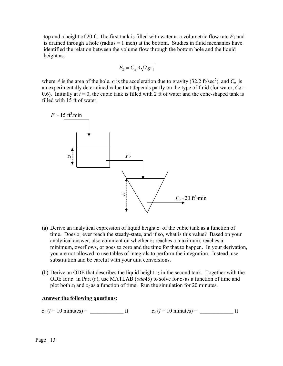top and a height of 20 ft. The first tank is filled with water at a volumetric flow rate  $F_1$  and is drained through a hole (radius  $= 1$  inch) at the bottom. Studies in fluid mechanics have identified the relation between the volume flow through the bottom hole and the liquid height as:

$$
F_2 = C_d A \sqrt{2gz_1}
$$

where *A* is the area of the hole, *g* is the acceleration due to gravity (32.2 ft/sec<sup>2</sup>), and  $C_d$  is an experimentally determined value that depends partly on the type of fluid (for water,  $C_d$  = 0.6). Initially at  $t = 0$ , the cubic tank is filled with 2 ft of water and the cone-shaped tank is filled with 15 ft of water.



- (a) Derive an analytical expression of liquid height *z*<sup>1</sup> of the cubic tank as a function of time. Does *z*<sup>1</sup> ever reach the steady-state, and if so, what is this value? Based on your analytical answer, also comment on whether  $z_1$  reaches a maximum, reaches a minimum, overflows, or goes to zero and the time for that to happen. In your derivation, you are not allowed to use tables of integrals to perform the integration. Instead, use substitution and be careful with your unit conversions.
- (b) Derive an ODE that describes the liquid height  $z_2$  in the second tank. Together with the ODE for *z*<sup>1</sup> in Part (a), use MATLAB (*ode*45) to solve for *z*2 as a function of time and plot both *z*1 and *z*2 as a function of time. Run the simulation for 20 minutes.

## **Answer the following questions:**

 $z_1$  (*t* = 10 minutes) =  $zt$ 

$$
z_2
$$
 (*t* = 10 minutes) = \_\_\_\_\_\_\_\_ ft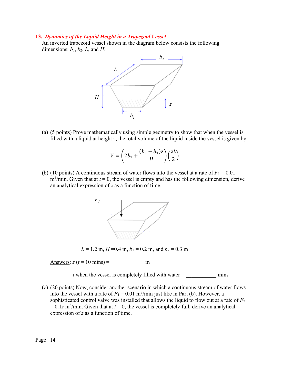## **13.** *Dynamics of the Liquid Height in a Trapezoid Vessel*

An inverted trapezoid vessel shown in the diagram below consists the following dimensions:  $b_1$ ,  $b_2$ ,  $L$ , and  $H$ .



(a) (5 points) Prove mathematically using simple geometry to show that when the vessel is filled with a liquid at height *z*, the total volume of the liquid inside the vessel is given by:

$$
V = \left(2b_1 + \frac{(b_2 - b_1)z}{H}\right)\left(\frac{zL}{2}\right)
$$

(b) (10 points) A continuous stream of water flows into the vessel at a rate of  $F_1 = 0.01$  $m<sup>3</sup>/min$ . Given that at  $t = 0$ , the vessel is empty and has the following dimension, derive an analytical expression of *z* as a function of time.



 $L = 1.2$  m,  $H = 0.4$  m,  $b_1 = 0.2$  m, and  $b_2 = 0.3$  m

Answers:  $z$  ( $t = 10$  mins) = m

*t* when the vessel is completely filled with water = \_\_\_\_\_\_\_\_\_\_\_\_ mins

(c) (20 points) Now, consider another scenario in which a continuous stream of water flows into the vessel with a rate of  $F_1 = 0.01 \text{ m}^3/\text{min}$  just like in Part (b). However, a sophisticated control valve was installed that allows the liquid to flow out at a rate of  $F_2$  $= 0.1z \text{ m}^3/\text{min}$ . Given that at  $t = 0$ , the vessel is completely full, derive an analytical expression of *z* as a function of time.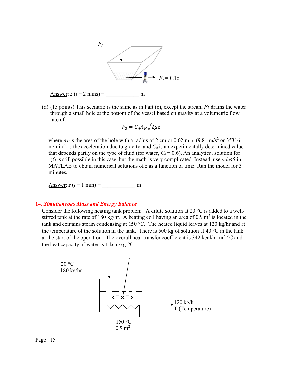

Answer:  $z(t = 2 \text{ mins}) =$  m

(d) (15 points) This scenario is the same as in Part (c), except the stream  $F_2$  drains the water through a small hole at the bottom of the vessel based on gravity at a volumetric flow rate of:

$$
F_2 = C_d A_H \sqrt{2gz}
$$

where  $A_H$  is the area of the hole with a radius of 2 cm or 0.02 m,  $g$  (9.81 m/s<sup>2</sup> or 35316  $m/min<sup>2</sup>$ ) is the acceleration due to gravity, and  $C<sub>d</sub>$  is an experimentally determined value that depends partly on the type of fluid (for water,  $C_d = 0.6$ ). An analytical solution for *z*(*t*) is still possible in this case, but the math is very complicated. Instead, use *ode45* in MATLAB to obtain numerical solutions of *z* as a function of time. Run the model for 3 minutes.

Answer:  $z(t = 1 \text{ min}) =$  m

## **14.** *Simultaneous Mass and Energy Balance*

Consider the following heating tank problem. A dilute solution at 20 °C is added to a wellstirred tank at the rate of 180 kg/hr. A heating coil having an area of 0.9 m<sup>2</sup> is located in the tank and contains steam condensing at 150 °C. The heated liquid leaves at 120 kg/hr and at the temperature of the solution in the tank. There is 500 kg of solution at 40  $\degree$ C in the tank at the start of the operation. The overall heat-transfer coefficient is 342 kcal/hr-m<sup>2</sup>-°C and the heat capacity of water is 1 kcal/kg-°C.

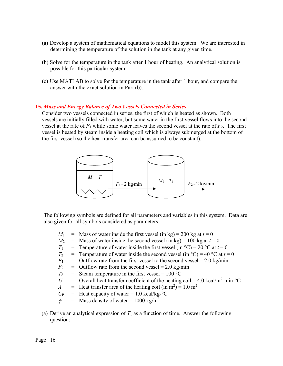- (a) Develop a system of mathematical equations to model this system. We are interested in determining the temperature of the solution in the tank at any given time.
- (b) Solve for the temperature in the tank after 1 hour of heating. An analytical solution is possible for this particular system.
- (c) Use MATLAB to solve for the temperature in the tank after 1 hour, and compare the answer with the exact solution in Part (b).

# **15.** *Mass and Energy Balance of Two Vessels Connected in Series*

Consider two vessels connected in series, the first of which is heated as shown. Both vessels are initially filled with water, but some water in the first vessel flows into the second vessel at the rate of  $F_1$  while some water leaves the second vessel at the rate of  $F_2$ . The first vessel is heated by steam inside a heating coil which is always submerged at the bottom of the first vessel (so the heat transfer area can be assumed to be constant).



The following symbols are defined for all parameters and variables in this system. Data are also given for all symbols considered as parameters.

- $M_1$  = Mass of water inside the first vessel (in kg) = 200 kg at  $t = 0$
- $M_2$  = Mass of water inside the second vessel (in kg) = 100 kg at  $t = 0$
- *T*<sub>1</sub> = Temperature of water inside the first vessel (in  $^{\circ}$ C) = 20  $^{\circ}$ C at *t* = 0
- *T*<sub>2</sub> = Temperature of water inside the second vessel (in  $^{\circ}$ C) = 40  $^{\circ}$ C at *t* = 0
- $F_1$  = Outflow rate from the first vessel to the second vessel = 2.0 kg/min
- $F_2$  = Outflow rate from the second vessel = 2.0 kg/min
- $T<sub>S</sub>$  = Steam temperature in the first vessel = 100 °C
- $U =$  Overall heat transfer coefficient of the heating coil = 4.0 kcal/m<sup>2</sup>-min-°C
- *A* = Heat transfer area of the heating coil (in m<sup>2</sup>) = 1.0 m<sup>2</sup>
- $C_P$  = Heat capacity of water = 1.0 kcal/kg-°C
- $\phi$  = Mass density of water = 1000 kg/m<sup>3</sup>
- (a) Derive an analytical expression of  $T_1$  as a function of time. Answer the following question: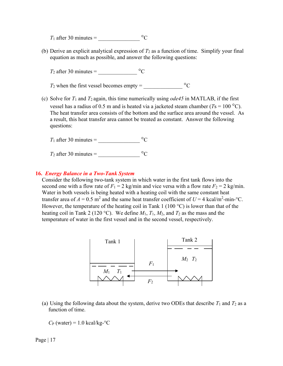$T_1$  after 30 minutes =  ${}^{\circ}C$ 

(b) Derive an explicit analytical expression of  $T_2$  as a function of time. Simplify your final equation as much as possible, and answer the following questions:

 $T_2$  after 30 minutes =  ${}^{\circ}C$ 

 $T_2$  when the first vessel becomes empty =  ${}^{\circ}C$ 

(c) Solve for *T*<sup>1</sup> and *T*2 again, this time numerically using *ode45* in MATLAB, if the first vessel has a radius of 0.5 m and is heated via a jacketed steam chamber ( $T_s = 100 \degree C$ ). The heat transfer area consists of the bottom and the surface area around the vessel. As a result, this heat transfer area cannot be treated as constant. Answer the following questions:

 $T_1$  after 30 minutes =  ${}^{\circ}C$  $T_2$  after 30 minutes =  ${}^{\circ}C$ 

## **16.** *Energy Balance in a Two-Tank System*

Consider the following two-tank system in which water in the first tank flows into the second one with a flow rate of  $F_1 = 2$  kg/min and vice versa with a flow rate  $F_2 = 2$  kg/min. Water in both vessels is being heated with a heating coil with the same constant heat transfer area of  $A = 0.5$  m<sup>2</sup> and the same heat transfer coefficient of  $U = 4$  kcal/m<sup>2</sup>-min-°C. However, the temperature of the heating coil in Tank 1 (100 °C) is lower than that of the heating coil in Tank 2 (120 °C). We define  $M_1$ ,  $T_1$ ,  $M_2$ , and  $T_2$  as the mass and the temperature of water in the first vessel and in the second vessel, respectively.



(a) Using the following data about the system, derive two ODEs that describe  $T_1$  and  $T_2$  as a function of time.

 $C_P$  (water) = 1.0 kcal/kg- $\rm ^{\circ}C$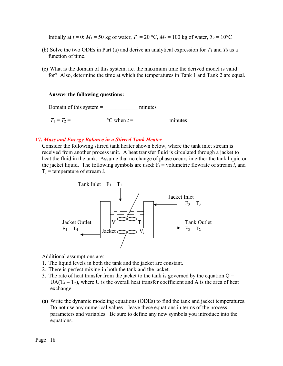Initially at  $t = 0$ :  $M_1 = 50$  kg of water,  $T_1 = 20$  °C,  $M_2 = 100$  kg of water,  $T_2 = 10$ °C

- (b) Solve the two ODEs in Part (a) and derive an analytical expression for  $T_1$  and  $T_2$  as a function of time.
- (c) What is the domain of this system, i.e. the maximum time the derived model is valid for? Also, determine the time at which the temperatures in Tank 1 and Tank 2 are equal.

## **Answer the following questions:**

Domain of this system = \_\_\_\_\_\_\_\_\_\_\_\_\_\_ minutes

*T*<sup>1</sup> = *T*<sup>2</sup> = \_\_\_\_\_\_\_\_\_\_\_\_ °C when *t* = \_\_\_\_\_\_\_\_\_\_\_\_ minutes

## **17.** *Mass and Energy Balance in a Stirred Tank Heater*

Consider the following stirred tank heater shown below, where the tank inlet stream is received from another process unit. A heat transfer fluid is circulated through a jacket to heat the fluid in the tank. Assume that no change of phase occurs in either the tank liquid or the jacket liquid. The following symbols are used:  $F_i$  = volumetric flowrate of stream *i*, and  $T_i$  = temperature of stream *i*.



Additional assumptions are:

- 1. The liquid levels in both the tank and the jacket are constant.
- 2. There is perfect mixing in both the tank and the jacket.
- 3. The rate of heat transfer from the jacket to the tank is governed by the equation  $Q =$  $UA(T_4 - T_2)$ , where U is the overall heat transfer coefficient and A is the area of heat exchange.
- (a) Write the dynamic modeling equations (ODEs) to find the tank and jacket temperatures. Do not use any numerical values – leave these equations in terms of the process parameters and variables. Be sure to define any new symbols you introduce into the equations.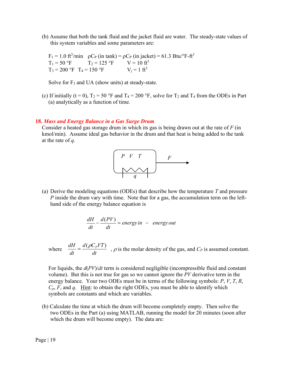(b) Assume that both the tank fluid and the jacket fluid are water. The steady-state values of this system variables and some parameters are:

 $F_1 = 1.0 \text{ ft}^3/\text{min}$   $\rho C_P \text{ (in tank)} = \rho C_P \text{ (in jacket)} = 61.3 \text{ Btu}^{\circ} \text{F-ft}^3$  $T_1 = 50 \text{ }^{\circ}\text{F}$   $T_2 = 125 \text{ }^{\circ}\text{F}$   $V = 10 \text{ ft}^3$  $T_3 = 200 \text{ }^\circ \text{F}$   $T_4 = 150 \text{ }^\circ \text{F}$   $V_j = 1 \text{ ft}^3$ 

Solve for  $F_3$  and UA (show units) at steady-state.

(c) If initially (t = 0),  $T_2 = 50$  °F and  $T_4 = 200$  °F, solve for  $T_2$  and  $T_4$  from the ODEs in Part (a) analytically as a function of time.

#### **18.** *Mass and Energy Balance in a Gas Surge Drum*

Consider a heated gas storage drum in which its gas is being drawn out at the rate of *F* (in kmol/min). Assume ideal gas behavior in the drum and that heat is being added to the tank at the rate of *q*.



(a) Derive the modeling equations (ODEs) that describe how the temperature *T* and pressure *P* inside the drum vary with time. Note that for a gas, the accumulation term on the lefthand side of the energy balance equation is

$$
\frac{dH}{dt} - \frac{d(PV)}{dt} = energy in - energy out
$$

where  $\frac{dP}{dr} = \frac{dP}{dr} \left( \frac{dP}{dr} \right)$ ,  $\rho$  is the molar density of the gas, and  $C_P$  is assumed constant. *dt*  $d(\rho C_p V T$ *dt*  $\frac{dH}{dt} = \frac{d(\rho C_p V T)}{r^2}$ 

For liquids, the *d*(*PV*)/*dt* term is considered negligible (incompressible fluid and constant volume). But this is not true for gas so we cannot ignore the *PV* derivative term in the energy balance. Your two ODEs must be in terms of the following symbols: *P*, *V*, *T*, *R*,  $C_p$ ,  $F$ , and  $q$ . Hint: to obtain the right ODEs, you must be able to identify which symbols are constants and which are variables.

(b) Calculate the time at which the drum will become completely empty. Then solve the two ODEs in the Part (a) using MATLAB, running the model for 20 minutes (soon after which the drum will become empty). The data are: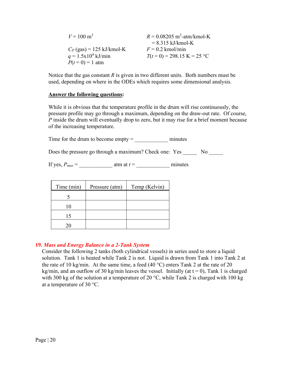| $V = 100 \text{ m}^3$       | $R = 0.08205$ m <sup>3</sup> -atm/kmol-K    |
|-----------------------------|---------------------------------------------|
|                             | $= 8.315 \text{ kJ/kmol-K}$                 |
| $C_P$ (gas) = 125 kJ/kmol-K | $F = 0.2$ kmol/min                          |
| $q = 1.5x10^4$ kJ/min       | $T(t=0) = 298.15 \text{ K} = 25 \text{ °C}$ |
| $P(t=0) = 1$ atm            |                                             |

Notice that the gas constant  $R$  is given in two different units. Both numbers must be used, depending on where in the ODEs which requires some dimensional analysis.

# **Answer the following questions:**

While it is obvious that the temperature profile in the drum will rise continuously, the pressure profile may go through a maximum, depending on the draw-out rate. Of course, *P* inside the drum will eventually drop to zero, but it may rise for a brief moment because of the increasing temperature.

Time for the drum to become empty  $=$  minutes

Does the pressure go through a maximum? Check one: Yes No

If yes,  $P_{max} =$   $\qquad \qquad \text{atm at } t =$  minutes

| Time (min) | Pressure (atm) | Temp (Kelvin) |
|------------|----------------|---------------|
|            |                |               |
| 10         |                |               |
| 15         |                |               |
|            |                |               |

# **19.** *Mass and Energy Balance in a 2-Tank System*

Consider the following 2 tanks (both cylindrical vessels) in series used to store a liquid solution. Tank 1 is heated while Tank 2 is not. Liquid is drawn from Tank 1 into Tank 2 at the rate of 10 kg/min. At the same time, a feed  $(40 °C)$  enters Tank 2 at the rate of 20 kg/min, and an outflow of 30 kg/min leaves the vessel. Initially (at  $t = 0$ ), Tank 1 is charged with 300 kg of the solution at a temperature of 20 °C, while Tank 2 is charged with 100 kg at a temperature of 30 °C.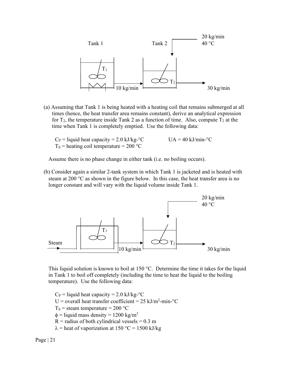

(a) Assuming that Tank 1 is being heated with a heating coil that remains submerged at all times (hence, the heat transfer area remains constant), derive an analytical expression for  $T_2$ , the temperature inside Tank 2 as a function of time. Also, compute  $T_2$  at the time when Tank 1 is completely emptied. Use the following data:

 $C_P =$  liquid heat capacity = 2.0 kJ/kg-°C UA = 40 kJ/min-°C  $T<sub>S</sub>$  = heating coil temperature = 200 °C

Assume there is no phase change in either tank (i.e. no boiling occurs).

(b) Consider again a similar 2-tank system in which Tank 1 is jacketed and is heated with steam at 200  $\degree$ C as shown in the figure below. In this case, the heat transfer area is no longer constant and will vary with the liquid volume inside Tank 1.



This liquid solution is known to boil at 150 °C. Determine the time it takes for the liquid in Tank 1 to boil off completely (including the time to heat the liquid to the boiling temperature). Use the following data:

 $C_P$  = liquid heat capacity = 2.0 kJ/kg- $\degree$ C U = overall heat transfer coefficient =  $25 \text{ kJ/m}^2$ -min-°C  $T<sub>S</sub>$  = steam temperature = 200 °C  $\phi$  = liquid mass density = 1200 kg/m<sup>3</sup>  $R =$  radius of both cylindrical vessels = 0.3 m  $\lambda$  = heat of vaporization at 150 °C = 1500 kJ/kg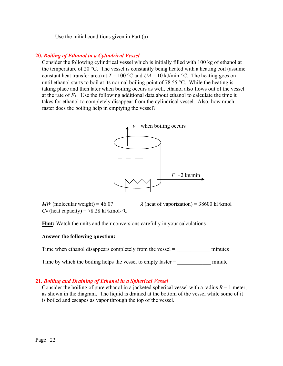Use the initial conditions given in Part (a)

# **20.** *Boiling of Ethanol in a Cylindrical Vessel*

Consider the following cylindrical vessel which is initially filled with 100 kg of ethanol at the temperature of 20 °C. The vessel is constantly being heated with a heating coil (assume constant heat transfer area) at  $T = 100$  °C and  $UA = 10$  kJ/min-°C. The heating goes on until ethanol starts to boil at its normal boiling point of 78.55  $\degree$ C. While the heating is taking place and then later when boiling occurs as well, ethanol also flows out of the vessel at the rate of  $F_1$ . Use the following additional data about ethanol to calculate the time it takes for ethanol to completely disappear from the cylindrical vessel. Also, how much faster does the boiling help in emptying the vessel?



*MW* (molecular weight) = 46.07  $\lambda$  (heat of vaporization) = 38600 kJ/kmol  $C_P$  (heat capacity) = 78.28 kJ/kmol- $\rm ^{\circ}C$ 

**Hint:** Watch the units and their conversions carefully in your calculations

# **Answer the following question:**

Time when ethanol disappears completely from the vessel  $=$  minutes

Time by which the boiling helps the vessel to empty faster  $=$  minute

# **21.** *Boiling and Draining of Ethanol in a Spherical Vessel*

Consider the boiling of pure ethanol in a jacketed spherical vessel with a radius  $R = 1$  meter, as shown in the diagram. The liquid is drained at the bottom of the vessel while some of it is boiled and escapes as vapor through the top of the vessel.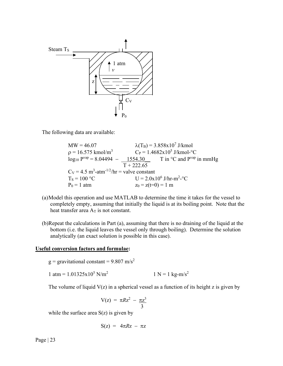

The following data are available:

 $MW = 46.07$   $\lambda(T_B) = 3.858 \times 10^7$  J/kmol  $p = 16.575 \text{ kmol/m}^3$  C<sub>P</sub> = 1.4682x10<sup>5</sup> J/kmol-°C  $\log_{10} P^{vap} = 8.04494 - 1554.30$  T in °C and P<sup>vap</sup> in mmHg  $T + 222.65$  $C_V = 4.5 \text{ m}^3\text{-atm}^{-1/2}/\text{hr} = \text{value constant}$  $T_S = 100 °C$   $U = 2.0x10^6$  J/hr-m<sup>2</sup>-°C  $P_0 = 1$  atm  $z_0 = z(t=0) = 1$  m

- (a)Model this operation and use MATLAB to determine the time it takes for the vessel to completely empty, assuming that initially the liquid is at its boiling point. Note that the heat transfer area  $A_T$  is not constant.
- (b)Repeat the calculations in Part (a), assuming that there is no draining of the liquid at the bottom (i.e. the liquid leaves the vessel only through boiling). Determine the solution analytically (an exact solution is possible in this case).

## **Useful conversion factors and formulae:**

 $g =$  gravitational constant = 9.807 m/s<sup>2</sup>

$$
1 \text{ atm} = 1.01325 \times 10^5 \text{ N/m}^2
$$
  

$$
1 \text{ N} = 1 \text{ kg-m/s}^2
$$

The volume of liquid  $V(z)$  in a spherical vessel as a function of its height z is given by

$$
V(z) = \pi R z^2 - \frac{\pi z^3}{3}
$$

while the surface area  $S(z)$  is given by

$$
S(z) = 4\pi Rz - \pi z
$$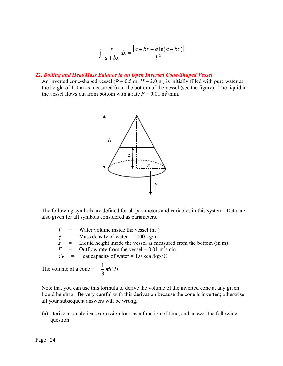$$
\int \frac{x}{a+bx} dx = \frac{[a+bx-a\ln(a+bx)]}{b^2}
$$

## **22.** *Boiling and Heat/Mass Balance in an Open Inverted Cone-Shaped Vessel*

An inverted cone-shaped vessel ( $R = 0.5$  m,  $H = 2.0$  m) is initially filled with pure water at the height of 1.0 m as measured from the bottom of the vessel (see the figure). The liquid in the vessel flows out from bottom with a rate  $F = 0.01$  m<sup>3</sup>/min.



The following symbols are defined for all parameters and variables in this system. Data are also given for all symbols considered as parameters.

 $V =$  Water volume inside the vessel  $(m<sup>3</sup>)$  $\phi$  = Mass density of water = 1000 kg/m<sup>3</sup>  $\overline{z}$  = Liquid height inside the vessel as measured from the bottom (in m)  $F =$  Outflow rate from the vessel = 0.01 m<sup>3</sup>/min  $C_P$  = Heat capacity of water = 1.0 kcal/kg- $\degree$ C

The volume of a cone =  $\frac{1}{2} \pi R^2 H$ 3 1 π

Note that you can use this formula to derive the volume of the inverted cone at any given liquid height *z*. Be very careful with this derivation because the cone is inverted; otherwise all your subsequent answers will be wrong.

(a) Derive an analytical expression for *z* as a function of time, and answer the following question: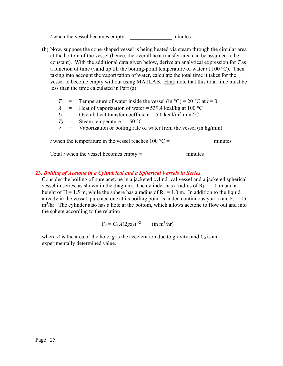*t* when the vessel becomes empty = \_\_\_\_\_\_\_\_\_\_\_\_\_\_\_\_\_\_\_ minutes

- (b) Now, suppose the cone-shaped vessel is being heated via steam through the circular area at the bottom of the vessel (hence, the overall heat transfer area can be assumed to be constant). With the additional data given below, derive an analytical expression for *T* as a function of time (valid up till the boiling-point temperature of water at  $100^{\circ}$ C). Then taking into account the vaporization of water, calculate the total time it takes for the vessel to become empty without using MATLAB. Hint: note that this total time must be less than the time calculated in Part (a).
	- *T* = Temperature of water inside the vessel (in  $^{\circ}C$ ) = 20  $^{\circ}C$  at *t* = 0.
	- $\lambda$  = Heat of vaporization of water = 539.4 kcal/kg at 100 °C
	- $U =$  Overall heat transfer coefficient = 5.0 kcal/m<sup>2</sup>-min-°C
	- $T<sub>S</sub>$  = Steam temperature = 150 °C
	- $v =$  Vaporization or boiling rate of water from the vessel (in kg/min)

| <i>t</i> when the temperature in the vessel reaches 100 $^{\circ}$ C = |         | minutes |
|------------------------------------------------------------------------|---------|---------|
| Total <i>t</i> when the vessel becomes empty $=$                       | minutes |         |

# **23.** *Boiling of Acetone in a Cylindrical and a Spherical Vessels in Series*

Consider the boiling of pure acetone in a jacketed cylindrical vessel and a jacketed spherical vessel in series, as shown in the diagram. The cylinder has a radius of  $R_1 = 1.0$  m and a height of H = 1.5 m, while the sphere has a radius of  $R_2 = 1.0$  m. In addition to the liquid already in the vessel, pure acetone at its boiling point is added continuously at a rate  $F_1 = 15$ m<sup>3</sup>/hr. The cylinder also has a hole at the bottom, which allows acetone to flow out and into the sphere according to the relation

$$
F_2 = C_d A (2gz_1)^{1/2} \qquad \text{(in m}^3/\text{hr})
$$

where *A* is the area of the hole, *g* is the acceleration due to gravity, and  $C_d$  is an experimentally determined value.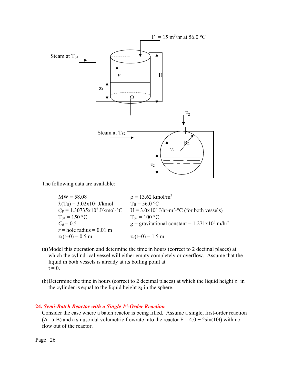

The following data are available:

| $MW = 58.08$                      | $p = 13.62$ kmol/m <sup>3</sup>                                        |
|-----------------------------------|------------------------------------------------------------------------|
| $\lambda(T_B) = 3.02x10^7$ J/kmol | $T_B = 56.0 °C$                                                        |
| $C_P = 1.30735x10^5$ J/kmol-°C    | $U = 3.0x10^6$ J/hr-m <sup>2</sup> -°C (for both vessels)              |
| $T_{S1} = 150 °C$                 | $T_{S2} = 100 °C$                                                      |
| $C_d = 0.5$                       | $g =$ gravitational constant = 1.271x10 <sup>8</sup> m/hr <sup>2</sup> |
| $r =$ hole radius = 0.01 m        |                                                                        |
| $z_1(t=0) = 0.5$ m                | $z_2(t=0) = 1.5$ m                                                     |

- (a)Model this operation and determine the time in hours (correct to 2 decimal places) at which the cylindrical vessel will either empty completely or overflow. Assume that the liquid in both vessels is already at its boiling point at  $t = 0$ .
- (b)Determine the time in hours (correct to 2 decimal places) at which the liquid height  $z_1$  in the cylinder is equal to the liquid height  $z_2$  in the sphere.

# **24.** *Semi-Batch Reactor with a Single 1st-Order Reaction*

Consider the case where a batch reactor is being filled. Assume a single, first-order reaction  $(A \rightarrow B)$  and a sinusoidal volumetric flowrate into the reactor  $F = 4.0 + 2\sin(10t)$  with no flow out of the reactor.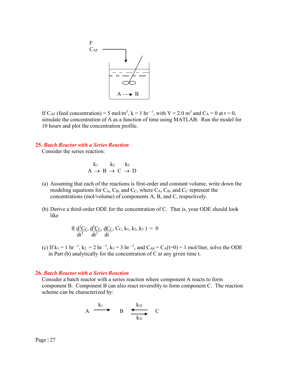

If  $C_{AF}$  (feed concentration) = 5 mol/m<sup>3</sup>, k = 1 hr<sup>-1</sup>, with V = 2.0 m<sup>3</sup> and  $C_A$  = 0 at t = 0, simulate the concentration of A as a function of time using MATLAB. Run the model for 10 hours and plot the concentration profile.

# **25.** *Batch Reactor with a Series Reaction*

Consider the series reaction:

$$
\begin{array}{ccc}\nk_1 & k_2 & k_3 \\
A \rightarrow B \rightarrow C \rightarrow D\n\end{array}
$$

- (a) Assuming that each of the reactions is first-order and constant volume, write down the modeling equations for  $C_A$ ,  $C_B$ , and  $C_C$ , where  $C_A$ ,  $C_B$ , and  $C_C$  represent the concentrations (mol/volume) of components A, B, and C, respectively.
- (b) Derive a third-order ODE for the concentration of C. That is, your ODE should look like

$$
f(\frac{d^{3}C_{C}}{dt^{3}}, \frac{d^{2}C_{C}}{dt^{2}}, \frac{dC_{C}}{dt}, C_{C}, k_{1}, k_{2}, k_{3}) = 0
$$

(c) If  $k_1 = 1$  hr<sup>-1</sup>,  $k_2 = 2$  hr<sup>-1</sup>,  $k_3 = 3$  hr<sup>-1</sup>, and  $C_{A0} = C_A(t=0) = 1$  mol/liter, solve the ODE in Part (b) analytically for the concentration of C at any given time t.

### **26.** *Batch Reactor with a Series Reaction*

Consider a batch reactor with a series reaction where component A reacts to form component B. Component B can also react reversibly to form component C. The reaction scheme can be characterized by:

$$
A \xrightarrow{k_1} B \xrightarrow{k_{2f}} C
$$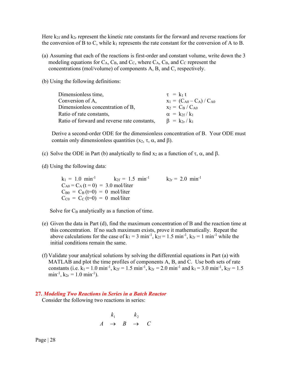Here  $k_{2f}$  and  $k_{2f}$  represent the kinetic rate constants for the forward and reverse reactions for the conversion of B to C, while  $k_1$  represents the rate constant for the conversion of A to B.

- (a) Assuming that each of the reactions is first-order and constant volume, write down the 3 modeling equations for  $C_A$ ,  $C_B$ , and  $C_C$ , where  $C_A$ ,  $C_B$ , and  $C_C$  represent the concentrations (mol/volume) of components A, B, and C, respectively.
- (b) Using the following definitions:

| Dimensionless time,                          | $\tau = k_1 t$                  |
|----------------------------------------------|---------------------------------|
| Conversion of A,                             | $X_1 = (C_{A0} - C_A) / C_{A0}$ |
| Dimensionless concentration of B,            | $x_2 = C_B / C_{A0}$            |
| Ratio of rate constants,                     | $\alpha = k_{2f}/k_1$           |
| Ratio of forward and reverse rate constants, | $\beta = k_{2r}/k_1$            |

Derive a second-order ODE for the dimensionless concentration of B. Your ODE must contain only dimensionless quantities  $(x_2, \tau, \alpha, \text{ and } \beta)$ .

- (c) Solve the ODE in Part (b) analytically to find  $x_2$  as a function of  $\tau$ ,  $\alpha$ , and  $\beta$ .
- (d) Using the following data:

 $k_1 = 1.0 \text{ min}^{-1}$   $k_{2f} = 1.5 \text{ min}^{-1}$   $k_{2r} = 2.0 \text{ min}^{-1}$  $C_{A0} = C_A (t = 0) = 3.0$  mol/liter  $C_{B0} = C_B (t=0) = 0$  mol/liter  $C_{C0} = C_{C} (t=0) = 0$  mol/liter

Solve for  $C_B$  analytically as a function of time.

- (e) Given the data in Part (d), find the maximum concentration of B and the reaction time at this concentration. If no such maximum exists, prove it mathematically. Repeat the above calculations for the case of  $k_1 = 3$  min<sup>-1</sup>,  $k_{2f} = 1.5$  min<sup>-1</sup>,  $k_{2r} = 1$  min<sup>-1</sup> while the initial conditions remain the same.
- (f) Validate your analytical solutions by solving the differential equations in Part (a) with MATLAB and plot the time profiles of components A, B, and C. Use both sets of rate constants (i.e.  $k_1 = 1.0 \text{ min}^{-1}$ ,  $k_{2f} = 1.5 \text{ min}^{-1}$ ,  $k_{2r} = 2.0 \text{ min}^{-1}$  and  $k_1 = 3.0 \text{ min}^{-1}$ ,  $k_{2f} = 1.5$  $min^{-1}$ ,  $k_{2r} = 1.0$   $min^{-1}$ ).

## **27.** *Modeling Two Reactions in Series in a Batch Reactor*

Consider the following two reactions in series:

$$
\begin{array}{ccc}\n & k_1 & k_2 \\
A & \to & B & \to & C\n\end{array}
$$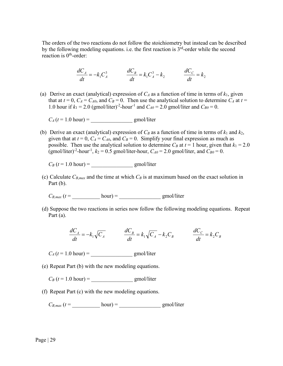The orders of the two reactions do not follow the stoichiometry but instead can be described by the following modeling equations. i.e. the first reaction is  $3<sup>rd</sup>$ -order while the second reaction is  $0<sup>th</sup>$ -order:

$$
\frac{dC_A}{dt} = -k_1 C_A^3 \qquad \qquad \frac{dC_B}{dt} = k_1 C_A^3 - k_2 \qquad \qquad \frac{dC_C}{dt} = k_2
$$

(a) Derive an exact (analytical) expression of  $C_A$  as a function of time in terms of  $k_1$ , given that at  $t = 0$ ,  $C_A = C_{A0}$ , and  $C_B = 0$ . Then use the analytical solution to determine  $C_A$  at  $t =$ 1.0 hour if  $k_1 = 2.0$  (gmol/liter)<sup>-2</sup>-hour<sup>-1</sup> and  $C_{A0} = 2.0$  gmol/liter and  $C_{B0} = 0$ .

 $C_A(t=1.0 \text{ hour}) =$  gmol/liter

(b) Derive an exact (analytical) expression of  $C_B$  as a function of time in terms of  $k_1$  and  $k_2$ , given that at  $t = 0$ ,  $C_A = C_{A0}$ , and  $C_B = 0$ . Simplify your final expression as much as possible. Then use the analytical solution to determine  $C_B$  at  $t = 1$  hour, given that  $k_1 = 2.0$ (gmol/liter)<sup>-2</sup>-hour<sup>-1</sup>,  $k_2 = 0.5$  gmol/liter-hour,  $C_{A0} = 2.0$  gmol/liter, and  $C_{B0} = 0$ .

 $C_B(t = 1.0 \text{ hour}) =$  gmol/liter

(c) Calculate  $C_{B,max}$  and the time at which  $C_B$  is at maximum based on the exact solution in Part (b).

*CB,max* (*t* = \_\_\_\_\_\_\_\_\_\_ hour) = \_\_\_\_\_\_\_\_\_\_\_\_\_\_\_ gmol/liter

(d) Suppose the two reactions in series now follow the following modeling equations. Repeat Part (a).

$$
\frac{dC_A}{dt} = -k_1 \sqrt{C_A}
$$
\n
$$
\frac{dC_B}{dt} = k_1 \sqrt{C_A} - k_2 C_B
$$
\n
$$
\frac{dC_C}{dt} = k_2 C_B
$$

 $C_A(t=1.0 \text{ hour}) =$  gmol/liter

(e) Repeat Part (b) with the new modeling equations.

*CB* (*t* = 1.0 hour) = \_\_\_\_\_\_\_\_\_\_\_\_\_\_\_ gmol/liter

(f) Repeat Part (c) with the new modeling equations.

*CB,max* (*t* = \_\_\_\_\_\_\_\_\_\_ hour) = \_\_\_\_\_\_\_\_\_\_\_\_\_\_\_ gmol/liter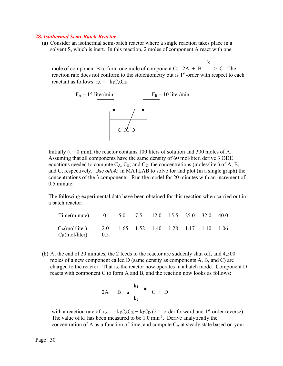## **28.** *Isothermal Semi-Batch Reactor*

(a) Consider an isothermal semi-batch reactor where a single reaction takes place in a solvent S, which is inert. In this reaction, 2 moles of component A react with one

 k1 mole of component B to form one mole of component C:  $2A + B$  -----> C. The reaction rate does not conform to the stoichiometry but is  $1<sup>st</sup>$ -order with respect to each reactant as follows:  $r_A = -k_1C_AC_B$ 



Initially ( $t = 0$  min), the reactor contains 100 liters of solution and 300 moles of A. Assuming that all components have the same density of 60 mol/liter, derive 3 ODE equations needed to compute  $C_A$ ,  $C_B$ , and  $C_C$ , the concentrations (moles/liter) of A, B, and C, respectively. Use *ode45* in MATLAB to solve for and plot (in a single graph) the concentrations of the 3 components. Run the model for 20 minutes with an increment of 0.5 minute.

The following experimental data have been obtained for this reaction when carried out in a batch reactor:

| Time(minute) 0 5.0 7.5 12.0 15.5 25.0 32.0                                          |                   |  |  |  | 40.0 |
|-------------------------------------------------------------------------------------|-------------------|--|--|--|------|
| C <sub>A</sub> (mol/liter)   2.0 1.65 1.52 1.40 1.28 1.17 1.10<br>$C_B$ (mol/liter) | $\vert 0.5 \vert$ |  |  |  | 1.06 |

(b) At the end of 20 minutes, the 2 feeds to the reactor are suddenly shut off, and 4,500 moles of a new component called D (same density as components A, B, and C) are charged to the reactor. That is, the reactor now operates in a batch mode. Component D reacts with component C to form A and B, and the reaction now looks as follows:

$$
2A + B \xrightarrow[k_2]{k_1} C + D
$$

with a reaction rate of  $r_A = -k_1C_AC_B + k_2C_D(2^{nd}$  -order forward and 1<sup>st</sup>-order reverse). The value of  $k_2$  has been measured to be 1.0 min<sup>-1</sup>. Derive analytically the concentration of A as a function of time, and compute  $C_A$  at steady state based on your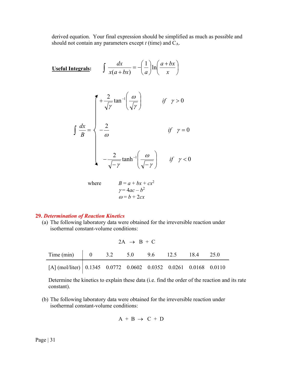derived equation. Your final expression should be simplified as much as possible and should not contain any parameters except *t* (time) and CA.

Useful Integrals: 
$$
\int \frac{dx}{x(a+bx)} = -\left(\frac{1}{a}\right) \ln\left(\frac{a+bx}{x}\right)
$$

$$
\int \frac{dx}{B} = \begin{cases} +\frac{2}{\sqrt{\gamma}} \tan^{-1} \left( \frac{\omega}{\sqrt{\gamma}} \right) & \text{if } \gamma > 0 \\ -\frac{2}{\omega} & \text{if } \gamma = 0 \end{cases}
$$

$$
-\frac{2}{\sqrt{-\gamma}}\tanh^{-1}\left(\frac{\omega}{\sqrt{-\gamma}}\right) \quad \text{if} \quad \gamma < 0
$$

where 
$$
B = a + bx + cx^2
$$

$$
\gamma = 4ac - b^2
$$

$$
\omega = b + 2cx
$$

#### **29.** *Determination of Reaction Kinetics*

(a) The following laboratory data were obtained for the irreversible reaction under isothermal constant-volume conditions:

| $2A \rightarrow B + C$                                                                                          |  |  |  |  |  |  |  |  |
|-----------------------------------------------------------------------------------------------------------------|--|--|--|--|--|--|--|--|
| Time (min) 0 3.2 5.0 9.6 12.5 18.4 25.0                                                                         |  |  |  |  |  |  |  |  |
| [A] (mol/liter) $\begin{array}{ ccc } 0.1345 & 0.0772 & 0.0602 & 0.0352 & 0.0261 & 0.0168 & 0.0110 \end{array}$ |  |  |  |  |  |  |  |  |

Determine the kinetics to explain these data (i.e. find the order of the reaction and its rate constant).

(b) The following laboratory data were obtained for the irreversible reaction under isothermal constant-volume conditions:

$$
A + B \rightarrow C + D
$$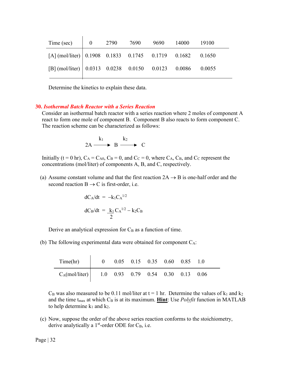| Time (sec)                                                                                             |  | $\begin{array}{ c c c c c c c c } \hline 0 & 2790 & 7690 & 9690 & 14000 \hline \end{array}$ | 19100 |
|--------------------------------------------------------------------------------------------------------|--|---------------------------------------------------------------------------------------------|-------|
| [A] (mol/liter) $\begin{array}{ ccc } 0.1908 & 0.1833 & 0.1745 & 0.1719 & 0.1682 & 0.1650 \end{array}$ |  |                                                                                             |       |
| [B] (mol/liter) $\begin{array}{ ccc } 0.0313 & 0.0238 & 0.0150 & 0.0123 & 0.0086 & 0.0055 \end{array}$ |  |                                                                                             |       |

Determine the kinetics to explain these data.

## **30.** *Isothermal Batch Reactor with a Series Reaction*

Consider an isothermal batch reactor with a series reaction where 2 moles of component A react to form one mole of component B. Component B also reacts to form component C. The reaction scheme can be characterized as follows:

$$
2A \xrightarrow{k_1} B \xrightarrow{k_2} C
$$

Initially (t = 0 hr),  $C_A = C_{A0}$ ,  $C_B = 0$ , and  $C_C = 0$ , where  $C_A$ ,  $C_B$ , and  $C_C$  represent the concentrations (mol/liter) of components A, B, and C, respectively.

(a) Assume constant volume and that the first reaction  $2A \rightarrow B$  is one-half order and the second reaction  $B \to C$  is first-order, i.e.

$$
dC_A/dt = -k_1C_A^{1/2}
$$

$$
dC_B/dt = \frac{k_1}{2}C_A^{1/2} - k_2C_B
$$

Derive an analytical expression for  $C_B$  as a function of time.

(b) The following experimental data were obtained for component  $C_A$ :

| Time(hr)                                              |  | $0$ 0.05 0.15 0.35 0.60 0.85 |  |  |  |
|-------------------------------------------------------|--|------------------------------|--|--|--|
| $C_A$ (mol/liter)   1.0 0.93 0.79 0.54 0.30 0.13 0.06 |  |                              |  |  |  |

 $C_B$  was also measured to be 0.11 mol/liter at t = 1 hr. Determine the values of  $k_1$  and  $k_2$ and the time t<sub>max</sub> at which C<sub>B</sub> is at its maximum. **Hint**: Use *Polyfit* function in MATLAB to help determine  $k_1$  and  $k_2$ .

(c) Now, suppose the order of the above series reaction conforms to the stoichiometry, derive analytically a  $1<sup>st</sup>$ -order ODE for  $C_B$ , i.e.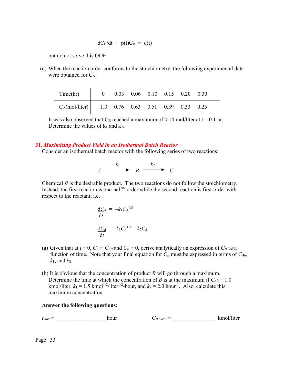$$
dC_B/dt + p(t)C_B = q(t)
$$

but do not solve this ODE.

 $\mathbf{r}$ 

(d) When the reaction order conforms to the stoichiometry, the following experimental data were obtained for CA:

| Time(hr)                                              | $\overline{0}$ |  | $0.03$ $0.06$ $0.10$ $0.15$ $0.20$ $0.30$ |  |  |
|-------------------------------------------------------|----------------|--|-------------------------------------------|--|--|
| $C_A$ (mol/liter)   1.0 0.76 0.63 0.51 0.39 0.33 0.25 |                |  |                                           |  |  |

It was also observed that  $C_B$  reached a maximum of 0.14 mol/liter at  $t = 0.1$  hr. Determine the values of  $k_1$  and  $k_2$ .

## **31.** *Maximizing Product Yield in an Isothermal Batch Reactor*

Consider an isothermal batch reactor with the following series of two reactions:



Chemical *B* is the desirable product. The two reactions do not follow the stoichiometry. Instead, the first reaction is one-half<sup>th</sup>-order while the second reaction is first-order with respect to the reactant, i.e.

$$
\frac{dC_A}{dt} = -k_1 C_A^{1/2}
$$

$$
\frac{dC_B}{dt} = k_1 C_A^{1/2} - k_2 C_B
$$

- (a) Given that at  $t = 0$ ,  $C_A = C_{A0}$  and  $C_B = 0$ , derive analytically an expression of  $C_B$  as a function of time. Note that your final equation for  $C_B$  must be expressed in terms of  $C_{A0}$ , *k*1, and *k*2.
- (b) It is obvious that the concentration of product *B* will go through a maximum. Determine the time at which the concentration of *B* is at the maximum if  $C_{A0} = 1.0$ kmol/liter,  $k_1 = 1.5$  kmol<sup>1/2</sup>/liter<sup>1/2</sup>-hour, and  $k_2 = 2.0$  hour<sup>-1</sup>. Also, calculate this maximum concentration.

#### **Answer the following questions:**

$$
t_{max} = \underline{\hspace{2cm}} \underline{\hspace{2cm}} \underline{\hspace{2cm}} \underline{\hspace{2cm}} \underline{\hspace{2cm}} \underline{\hspace{2cm}} \underline{\hspace{2cm}} \underline{\hspace{2cm}} \underline{\hspace{2cm}} \underline{\hspace{2cm}} \underline{\hspace{2cm}} \underline{\hspace{2cm}} \underline{\hspace{2cm}} \underline{\hspace{2cm}} \underline{\hspace{2cm}} \underline{\hspace{2cm}} \underline{\hspace{2cm}} \underline{\hspace{2cm}} \underline{\hspace{2cm}} \underline{\hspace{2cm}} \underline{\hspace{2cm}} \underline{\hspace{2cm}} \underline{\hspace{2cm}} \underline{\hspace{2cm}} \underline{\hspace{2cm}} \underline{\hspace{2cm}} \underline{\hspace{2cm}} \underline{\hspace{2cm}} \underline{\hspace{2cm}} \underline{\hspace{2cm}} \underline{\hspace{2cm}} \underline{\hspace{2cm}} \underline{\hspace{2cm}} \underline{\hspace{2cm}} \underline{\hspace{2cm}} \underline{\hspace{2cm}} \underline{\hspace{2cm}} \underline{\hspace{2cm}} \underline{\hspace{2cm}} \underline{\hspace{2cm}} \underline{\hspace{2cm}} \underline{\hspace{2cm}} \underline{\hspace{2cm}} \underline{\hspace{2cm}} \underline{\hspace{2cm}} \underline{\hspace{2cm}} \underline{\hspace{2cm}} \underline{\hspace{2cm}} \underline{\hspace{2cm}} \underline{\hspace{2cm}} \underline{\hspace{2cm}} \underline{\hspace{2cm}} \underline{\hspace{2cm}} \underline{\hspace{2cm}} \underline{\hspace{2cm}} \underline{\hspace{2cm}} \underline{\hspace{2cm}} \underline{\hspace{2cm}} \underline{\hspace{2cm}} \underline{\hspace{2cm}} \underline{\hspace{2cm}} \underline{\hspace{2cm}} \underline{\hspace{2cm}} \underline{\hspace{2cm}} \underline{\hspace{2cm}} \underline{\hspace{2cm}} \underline{\hspace{2cm}} \underline{\hspace{2cm}} \underline{\hspace{2cm}} \underline{\hspace{2cm}} \underline{\hspace{2cm}} \underline{\hspace{2cm}} \underline{\hspace{2cm}} \underline{\hspace{2cm}} \underline{\hspace{2cm}} \underline{\hspace{2cm}} \underline{\hspace{2cm}} \underline{\hspace{2cm}} \underline{\hspace{2cm}} \underline{\hspace{2cm}} \underline{\hspace{2cm}} \underline{\hspace{2cm}} \underline{\hspace{2cm}} \underline{\hspace{2
$$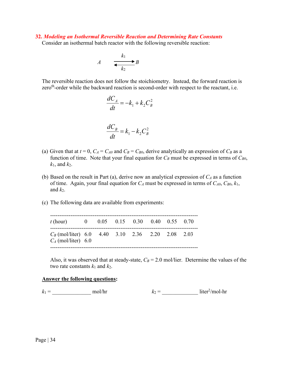## **32.** *Modeling an Isothermal Reversible Reaction and Determining Rate Constants* Consider an isothermal batch reactor with the following reversible reaction:

$$
A \qquad \qquad \xrightarrow[k_1]{k_1} B
$$

The reversible reaction does not follow the stoichiometry. Instead, the forward reaction is zero<sup>th</sup>-order while the backward reaction is second-order with respect to the reactant, i.e.

$$
\frac{dC_A}{dt} = -k_1 + k_2 C_B^2
$$

$$
\frac{dC_B}{dt} = k_1 - k_2 C_B^2
$$

- (a) Given that at  $t = 0$ ,  $C_A = C_{A0}$  and  $C_B = C_{B0}$ , derive analytically an expression of  $C_B$  as a function of time. Note that your final equation for  $C_B$  must be expressed in terms of  $C_{B0}$ , *k*1, and *k*2.
- (b) Based on the result in Part (a), derive now an analytical expression of  $C_A$  as a function of time. Again, your final equation for  $C_A$  must be expressed in terms of  $C_{A0}$ ,  $C_{B0}$ ,  $k_1$ , and  $k_2$ .
- (c) The following data are available from experiments:

| $t$ (hour) 0 0.05 0.15 0.30 0.40 0.55 0.70                                   |  |  |  |  |
|------------------------------------------------------------------------------|--|--|--|--|
| $C_B$ (mol/liter) 6.0 4.40 3.10 2.36 2.20 2.08 2.03<br>$C_A$ (mol/liter) 6.0 |  |  |  |  |

Also, it was observed that at steady-state,  $C_B = 2.0$  mol/lier. Determine the values of the two rate constants  $k_1$  and  $k_2$ .

## **Answer the following questions:**

*k*<sup>1</sup> = \_\_\_\_\_\_\_\_\_\_\_\_\_\_ mol/hr *k*<sup>2</sup> = \_\_\_\_\_\_\_\_\_\_\_\_\_ liter2 /mol-hr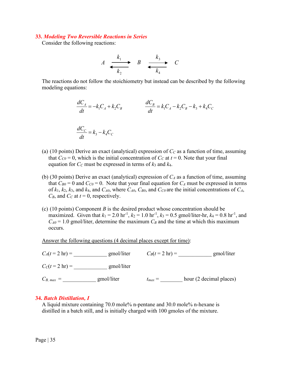## **33.** *Modeling Two Reversible Reactions in Series*

Consider the following reactions:

$$
A \xrightarrow[k_1]{k_1} B \xrightarrow[k_3]{k_3} C
$$

The reactions do not follow the stoichiometry but instead can be described by the following modeling equations:

$$
\frac{dC_A}{dt} = -k_1 C_A + k_2 C_B
$$
\n
$$
\frac{dC_B}{dt} = k_1 C_A - k_2 C_B - k_3 + k_4 C_C
$$
\n
$$
\frac{dC_C}{dt} = k_3 - k_4 C_C
$$

- (a) (10 points) Derive an exact (analytical) expression of  $C_c$  as a function of time, assuming that  $C_{C0} = 0$ , which is the initial concentration of  $C_C$  at  $t = 0$ . Note that your final equation for *CC* must be expressed in terms of *k*<sup>3</sup> and *k*4.
- (b) (30 points) Derive an exact (analytical) expression of  $C_A$  as a function of time, assuming that  $C_{B0} = 0$  and  $C_{C0} = 0$ . Note that your final equation for  $C_A$  must be expressed in terms of  $k_1$ ,  $k_2$ ,  $k_3$ , and  $k_4$ , and  $C_{A0}$ , where  $C_{A0}$ ,  $C_{B0}$ , and  $C_{C0}$  are the initial concentrations of  $C_A$ ,  $C_B$ , and  $C_C$  at  $t = 0$ , respectively.
- (c) (10 points) Component *B* is the desired product whose concentration should be maximized. Given that  $k_1 = 2.0$  hr<sup>-1</sup>,  $k_2 = 1.0$  hr<sup>-1</sup>,  $k_3 = 0.5$  gmol/liter-hr,  $k_4 = 0.8$  hr<sup>-1</sup>, and  $C_{A0} = 1.0$  gmol/liter, determine the maximum  $C_B$  and the time at which this maximum occurs.

Answer the following questions (4 decimal places except for time):

| $C_A(t = 2 \text{ hr}) =$ | gmol/liter | $C_B(t = 2 \text{ hr}) =$ | gmol/liter              |
|---------------------------|------------|---------------------------|-------------------------|
| $C_{C}(t=2 \text{ hr}) =$ | gmol/liter |                           |                         |
| $C_{B, max} =$            | gmol/liter | $t_{max} =$               | hour (2 decimal places) |

## **34.** *Batch Distillation, I*

A liquid mixture containing 70.0 mole% n-pentane and 30.0 mole% n-hexane is distilled in a batch still, and is initially charged with 100 gmoles of the mixture.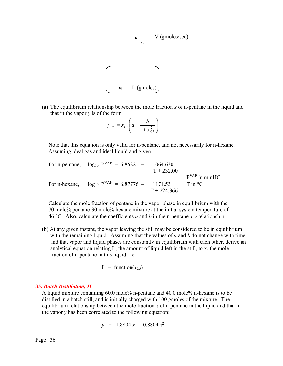

(a) The equilibrium relationship between the mole fraction *x* of n-pentane in the liquid and that in the vapor *y* is of the form

$$
y_{C5} = x_{C5} \left( a + \frac{b}{1 + x_{C5}^2} \right)
$$

Note that this equation is only valid for n-pentane, and not necessarily for n-hexane. Assuming ideal gas and ideal liquid and given

For n-pentane, 
$$
\log_{10} P^{VAP} = 6.85221 - \frac{1064.630}{T + 232.00}
$$
  
For n-hexane,  $\log_{10} P^{VAP} = 6.87776 - \frac{1171.53}{T + 224.366}$   $P^{VAP}$  in mmHG

Calculate the mole fraction of pentane in the vapor phase in equilibrium with the 70 mole% pentane-30 mole% hexane mixture at the initial system temperature of 46 °C. Also, calculate the coefficients *a* and *b* in the n-pentane *x-y* relationship.

(b) At any given instant, the vapor leaving the still may be considered to be in equilibrium with the remaining liquid. Assuming that the values of *a* and *b* do not change with time and that vapor and liquid phases are constantly in equilibrium with each other, derive an analytical equation relating L, the amount of liquid left in the still, to x, the mole fraction of n-pentane in this liquid, i.e.

$$
L = function(x_{C5})
$$

# **35.** *Batch Distillation, II*

A liquid mixture containing 60.0 mole% n-pentane and 40.0 mole% n-hexane is to be distilled in a batch still, and is initially charged with 100 gmoles of the mixture. The equilibrium relationship between the mole fraction *x* of n-pentane in the liquid and that in the vapor *y* has been correlated to the following equation:

$$
y = 1.8804 x - 0.8804 x^2
$$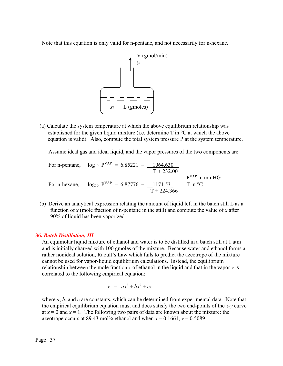Note that this equation is only valid for n-pentane, and not necessarily for n-hexane.



(a) Calculate the system temperature at which the above equilibrium relationship was established for the given liquid mixture (i.e. determine  $T$  in  $\mathrm{^{\circ}C}$  at which the above equation is valid). Also, compute the total system pressure P at the system temperature.

Assume ideal gas and ideal liquid, and the vapor pressures of the two components are:

For n-pentane, 
$$
\log_{10} P^{VAP} = 6.85221 - \frac{1064.630}{T + 232.00}
$$
  
For n-hexane,  $\log_{10} P^{VAP} = 6.87776 - \frac{1171.53}{T + 224.366}$   $P^{VAP}$  in mmHG

(b) Derive an analytical expression relating the amount of liquid left in the batch still L as a function of *x* (mole fraction of n-pentane in the still) and compute the value of *x* after 90% of liquid has been vaporized.

# **36.** *Batch Distillation, III*

An equimolar liquid mixture of ethanol and water is to be distilled in a batch still at 1 atm and is initially charged with 100 gmoles of the mixture. Because water and ethanol forms a rather nonideal solution, Raoult's Law which fails to predict the azeotrope of the mixture cannot be used for vapor-liquid equilibrium calculations. Instead, the equilibrium relationship between the mole fraction *x* of ethanol in the liquid and that in the vapor  $\gamma$  is correlated to the following empirical equation:

$$
y = ax^3 + bx^2 + cx
$$

where *a*, *b*, and *c* are constants, which can be determined from experimental data. Note that the empirical equilibrium equation must and does satisfy the two end-points of the *x-y* curve at  $x = 0$  and  $x = 1$ . The following two pairs of data are known about the mixture: the azeotrope occurs at 89.43 mol% ethanol and when  $x = 0.1661$ ,  $y = 0.5089$ .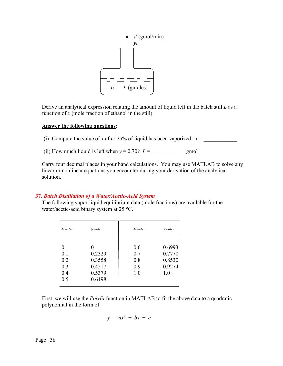

Derive an analytical expression relating the amount of liquid left in the batch still *L* as a function of *x* (mole fraction of ethanol in the still).

# **Answer the following questions:**

(i) Compute the value of *x* after 75% of liquid has been vaporized:  $x =$ 

(ii) How much liquid is left when  $y = 0.70$ ?  $L =$  gmol

Carry four decimal places in your hand calculations. You may use MATLAB to solve any linear or nonlinear equations you encounter during your derivation of the analytical solution.

# **37.** *Batch Distillation of a Water/Acetic-Acid System*

The following vapor-liquid equilibrium data (mole fractions) are available for the water/acetic-acid binary system at 25 °C.

| X <sub>water</sub>                          | Vwater                                                   | X <sub>water</sub>              | Vwater                                      |
|---------------------------------------------|----------------------------------------------------------|---------------------------------|---------------------------------------------|
| $\theta$<br>0.1<br>0.2<br>0.3<br>0.4<br>0.5 | $_{0}$<br>0.2329<br>0.3558<br>0.4517<br>0.5379<br>0.6198 | 0.6<br>0.7<br>0.8<br>0.9<br>1.0 | 0.6993<br>0.7770<br>0.8530<br>0.9274<br>1.0 |

First, we will use the *Polyfit* function in MATLAB to fit the above data to a quadratic polynomial in the form of

$$
y = ax^2 + bx + c
$$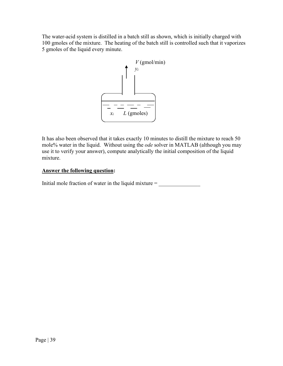The water-acid system is distilled in a batch still as shown, which is initially charged with 100 gmoles of the mixture. The heating of the batch still is controlled such that it vaporizes 5 gmoles of the liquid every minute.



It has also been observed that it takes exactly 10 minutes to distill the mixture to reach 50 mole% water in the liquid. Without using the *ode* solver in MATLAB (although you may use it to verify your answer), compute analytically the initial composition of the liquid mixture.

# **Answer the following question:**

Initial mole fraction of water in the liquid mixture  $=$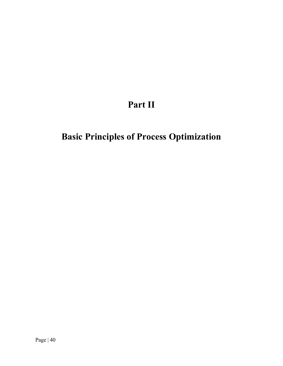# **Part II**

# **Basic Principles of Process Optimization**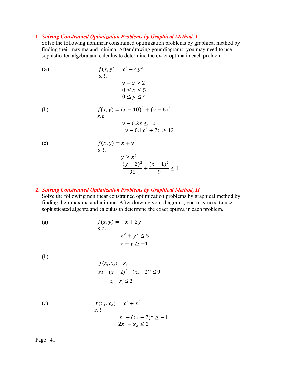#### **1.** *Solving Constrained Optimization Problems by Graphical Method, I*

Solve the following nonlinear constrained optimization problems by graphical method by finding their maxima and minima. After drawing your diagrams, you may need to use sophisticated algebra and calculus to determine the exact optima in each problem.

(a)  $f(x, y) = x^2 + 4y^2$ <br>s.t.  $s.t.$  $y - x \geq 2$  $0 \leq x \leq 5$  $0 \leq y \leq 4$ (b)  $f(x, y) = (x - 10)^2 + (y - 6)^2$ <br>s.t.  $s.t.$  $y - 0.2x \le 10$  $y - 0.1x^2 + 2x \ge 12$ (c)  $f(x, y) = x + y$ <br>s.t.  $s.t.$  $y \geq x^2$  $\frac{(y-2)^2}{36} + \frac{(x-1)^2}{9} \le 1$ 

#### **2.** *Solving Constrained Optimization Problems by Graphical Method, II*

Solve the following nonlinear constrained optimization problems by graphical method by finding their maxima and minima. After drawing your diagrams, you may need to use sophisticated algebra and calculus to determine the exact optima in each problem.

(a)  
\n
$$
f(x,y) = -x + 2y
$$
\n
$$
s.t. \quad x^2 + y^2 \le 5
$$
\n
$$
x - y \ge -1
$$

(b)

$$
f(x_1, x_2) = x_1
$$
  
s.t.  $(x_1 - 2)^2 + (x_2 - 2)^2 \le 9$   
 $x_1 - x_2 \le 2$ 

(c)  

$$
f(x_1, x_2) = x_1^2 + x_2^2
$$
  
s.t.  

$$
x_1 - (x_2 - 2)^2 \ge -1
$$
  

$$
2x_1 - x_2 \le 2
$$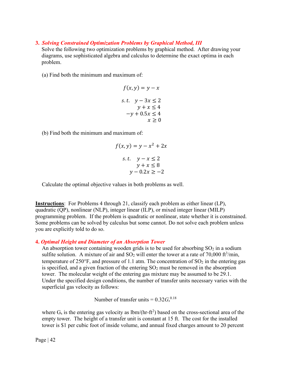# **3.** *Solving Constrained Optimization Problems by Graphical Method, III*

Solve the following two optimization problems by graphical method. After drawing your diagrams, use sophisticated algebra and calculus to determine the exact optima in each problem.

(a) Find both the minimum and maximum of:

$$
f(x, y) = y - x
$$
  
s.t. 
$$
y - 3x \le 2
$$

$$
y + x \le 4
$$

$$
-y + 0.5x \le 4
$$

$$
x \ge 0
$$

(b) Find both the minimum and maximum of:

$$
f(x, y) = y - x2 + 2x
$$
  
s.t. 
$$
y - x \le 2
$$

$$
y + x \le 8
$$

$$
y - 0.2x \ge -2
$$

Calculate the optimal objective values in both problems as well.

**Instructions**: For Problems 4 through 21, classify each problem as either linear (LP), quadratic (QP), nonlinear (NLP), integer linear (ILP), or mixed integer linear (MILP) programming problem. If the problem is quadratic or nonlinear, state whether it is constrained. Some problems can be solved by calculus but some cannot. Do not solve each problem unless you are explicitly told to do so.

# **4.** *Optimal Height and Diameter of an Absorption Tower*

An absorption tower containing wooden grids is to be used for absorbing  $SO<sub>2</sub>$  in a sodium sulfite solution. A mixture of air and  $SO_2$  will enter the tower at a rate of 70,000 ft<sup>3</sup>/min, temperature of 250 $\degree$ F, and pressure of 1.1 atm. The concentration of SO<sub>2</sub> in the entering gas is specified, and a given fraction of the entering  $SO<sub>2</sub>$  must be removed in the absorption tower. The molecular weight of the entering gas mixture may be assumed to be 29.1. Under the specified design conditions, the number of transfer units necessary varies with the superficial gas velocity as follows:

Number of transfer units  $= 0.32 G_s^{0.18}$ 

where  $G_s$  is the entering gas velocity as  $lbm/(hr-ft^2)$  based on the cross-sectional area of the empty tower. The height of a transfer unit is constant at 15 ft. The cost for the installed tower is \$1 per cubic foot of inside volume, and annual fixed charges amount to 20 percent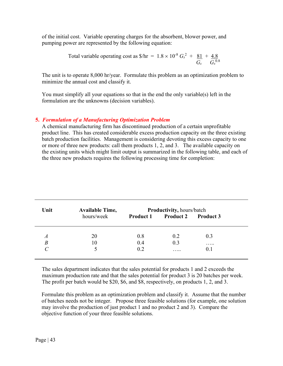of the initial cost. Variable operating charges for the absorbent, blower power, and pumping power are represented by the following equation:

Total variable operating cost as 
$$
\frac{8}{hr} = 1.8 \times 10^{-8} G_s^2 + \frac{81}{G_s} + \frac{4.8}{G_s^{0.8}}
$$

The unit is to operate 8,000 hr/year. Formulate this problem as an optimization problem to minimize the annual cost and classify it.

You must simplify all your equations so that in the end the only variable(s) left in the formulation are the unknowns (decision variables).

# **5.** *Formulation of a Manufacturing Optimization Problem*

A chemical manufacturing firm has discontinued production of a certain unprofitable product line. This has created considerable excess production capacity on the three existing batch production facilities. Management is considering devoting this excess capacity to one or more of three new products: call them products 1, 2, and 3. The available capacity on the existing units which might limit output is summarized in the following table, and each of the three new products requires the following processing time for completion:

| Unit | <b>Available Time,</b> | <b>Productivity, hours/batch</b> |                  |                  |  |  |
|------|------------------------|----------------------------------|------------------|------------------|--|--|
|      | hours/week             | <b>Product 1</b>                 | <b>Product 2</b> | <b>Product 3</b> |  |  |
|      |                        |                                  |                  |                  |  |  |
| A    | 20                     | 0.8                              | 0.2              | 0.3              |  |  |
| B    | 10                     | 0.4                              | 0.3              |                  |  |  |
|      |                        | 0.2                              |                  | O. I             |  |  |
|      |                        |                                  |                  |                  |  |  |

The sales department indicates that the sales potential for products 1 and 2 exceeds the maximum production rate and that the sales potential for product 3 is 20 batches per week. The profit per batch would be \$20, \$6, and \$8, respectively, on products 1, 2, and 3.

Formulate this problem as an optimization problem and classify it. Assume that the number of batches needs not be integer. Propose three feasible solutions (for example, one solution may involve the production of just product 1 and no product 2 and 3). Compare the objective function of your three feasible solutions.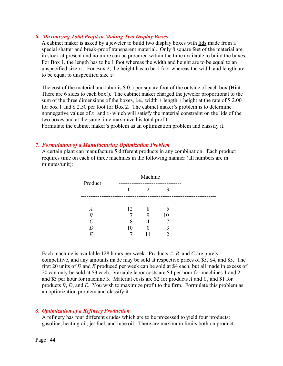# **6.** *Maximizing Total Profit in Making Two Display Boxes*

A cabinet maker is asked by a jeweler to build two display boxes with lids made from a special shatter and break-proof transparent material. Only 8 square feet of the material are in stock at present and no more can be procured within the time available to build the boxes. For Box 1, the length has to be 1 foot whereas the width and height are to be equal to an unspecified size  $x_1$ . For Box 2, the height has to be 1 foot whereas the width and length are to be equal to unspecified size *x*2.

The cost of the material and labor is \$ 0.5 per square foot of the outside of each box (Hint: There are 6 sides to each box!). The cabinet maker charged the jeweler proportional to the sum of the three dimensions of the boxes, i.e., width  $+$  length  $+$  height at the rate of \$ 2.00 for box 1 and \$ 2.50 per foot for Box 2. The cabinet maker's problem is to determine nonnegative values of  $x_1$  and  $x_2$  which will satisfy the material constraint on the lids of the two boxes and at the same time maximize his total profit.

Formulate the cabinet maker's problem as an optimization problem and classify it.

# **7.** *Formulation of a Manufacturing Optimization Problem*

A certain plant can manufacture 5 different products in any combination. Each product requires time on each of three machines in the following manner (all numbers are in minutes/unit):

| Product       |    | Machine |                             |
|---------------|----|---------|-----------------------------|
|               | 1  | 2       | 3                           |
|               |    |         |                             |
| A             | 12 | 8       | 5                           |
| B             |    | 9       | 10                          |
| $\mathcal{C}$ |    | 4       |                             |
| D             | 10 |         |                             |
| E             |    |         | $\mathcal{D}_{\mathcal{L}}$ |
|               |    |         |                             |

Each machine is available 128 hours per week. Products *A*, *B*, and *C* are purely competitive, and any amounts made may be sold at respective prices of \$5, \$4, and \$5. The first 20 units of *D* and *E* produced per week can be sold at \$4 each, but all made in excess of 20 can only be sold at \$3 each. Variable labor costs are \$4 per hour for machines 1 and 2 and \$3 per hour for machine 3. Material costs are \$2 for products *A* and *C*, and \$1 for products *B*, *D*, and *E*. You wish to maximize profit to the firm. Formulate this problem as an optimization problem and classify it.

# **8.** *Optimization of a Refinery Production*

A refinery has four different crudes which are to be processed to yield four products: gasoline, heating oil, jet fuel, and lube oil. There are maximum limits both on product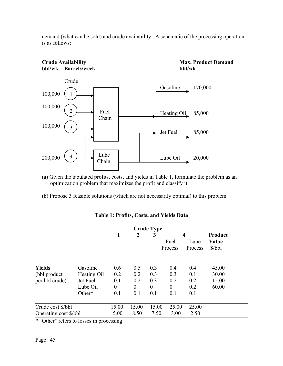demand (what can be sold) and crude availability. A schematic of the processing operation is as follows:



- (a) Given the tabulated profits, costs, and yields in Table 1, formulate the problem as an optimization problem that maximizes the profit and classify it.
- (b) Propose 3 feasible solutions (which are not necessarily optimal) to this problem.

|                       | <b>Crude Type</b> |          |          |          |          |         |         |  |
|-----------------------|-------------------|----------|----------|----------|----------|---------|---------|--|
|                       |                   | 1        | 2        | 3        |          | 4       | Product |  |
|                       |                   |          |          |          | Fuel     | Lube    | Value   |  |
|                       |                   |          |          |          | Process  | Process | \$/bbl  |  |
| <b>Yields</b>         | Gasoline          | 0.6      | 0.5      | 0.3      | 0.4      | 0.4     | 45.00   |  |
| (bbl product)         | Heating Oil       | 0.2      | 0.2      | 0.3      | 0.3      | 0.1     | 30.00   |  |
| per bbl crude)        | Jet Fuel          | 0.1      | 0.2      | 0.3      | 0.2      | 0.2     | 15.00   |  |
|                       | Lube Oil          | $\theta$ | $\theta$ | $\theta$ | $\theta$ | 0.2     | 60.00   |  |
|                       | Other*            | 0.1      | 0.1      | 0.1      | 0.1      | 0.1     |         |  |
| Crude cost \$/bbl     |                   | 15.00    | 15.00    | 15.00    | 25.00    | 25.00   |         |  |
| Operating cost \$/bbl |                   | 5.00     | 8.50     | 7.50     | 3.00     | 2.50    |         |  |

# **Table 1: Profits, Costs, and Yields Data**

\* "Other" refers to losses in processing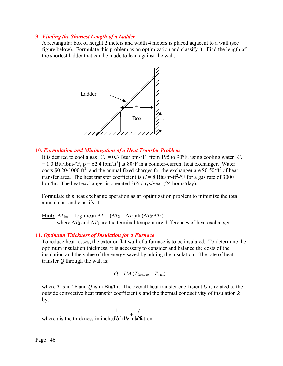# **9.** *Finding the Shortest Length of a Ladder*

A rectangular box of height 2 meters and width 4 meters is placed adjacent to a wall (see figure below). Formulate this problem as an optimization and classify it. Find the length of the shortest ladder that can be made to lean against the wall.



## **10.** *Formulation and Minimization of a Heat Transfer Problem*

It is desired to cool a gas  $[C_P = 0.3 \text{ Btu/lbm}$ -°F] from 195 to 90°F, using cooling water  $[C_P$ = 1.0 Btu/lbm-°F,  $\rho$  = 62.4 lbm/ft<sup>3</sup>] at 80°F in a counter-current heat exchanger. Water costs \$0.20/1000 ft<sup>3</sup>, and the annual fixed charges for the exchanger are \$0.50/ft<sup>2</sup> of heat transfer area. The heat transfer coefficient is  $U = 8$  Btu/hr-ft<sup>2</sup>- $\degree$ F for a gas rate of 3000 lbm/hr. The heat exchanger is operated 365 days/year (24 hours/day).

Formulate this heat exchange operation as an optimization problem to minimize the total annual cost and classify it.

**Hint:**  $\Delta T_{\text{lm}} = \log \text{-mean } \Delta T = (\Delta T_2 - \Delta T_1)/\ln(\Delta T_2/\Delta T_1)$ where  $\Delta T_2$  and  $\Delta T_1$  are the terminal temperature differences of heat exchanger.

## **11.** *Optimum Thickness of Insulation for a Furnace*

To reduce heat losses, the exterior flat wall of a furnace is to be insulated. To determine the optimum insulation thickness, it is necessary to consider and balance the costs of the insulation and the value of the energy saved by adding the insulation. The rate of heat transfer *Q* through the wall is:

$$
Q = UA (T_{\text{furnace}} - T_{\text{wall}})
$$

where *T* is in  $\textdegree$ F and *Q* is in Btu/hr. The overall heat transfer coefficient *U* is related to the outside convective heat transfer coefficient *h* and the thermal conductivity of insulation *k* by:

*k t* **U** *U he* inst  $\frac{1}{2} = \frac{1}{2} +$ where  $t$  is the thickness in inches of the insulation.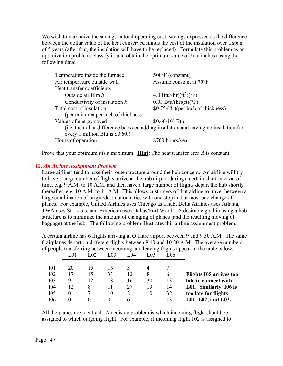We wish to maximize the savings in total operating cost, savings expressed as the difference between the dollar value of the heat conserved minus the cost of the insulation over a span of 5 years (after that, the insulation will have to be replaced). Formulate this problem as an optimization problem, classify it, and obtain the optimum value of *t* (in inches) using the following data:

| Temperature inside the furnace        | $500^{\circ}$ F (constant)                                                         |
|---------------------------------------|------------------------------------------------------------------------------------|
| Air temperature outside wall          | Assume constant at $70^{\circ}$ F                                                  |
| Heat transfer coefficients            |                                                                                    |
| Outside air film h                    | 4.0 Btu/(hr)( $\rm ft^2$ )( $\rm \degree F$ )                                      |
| Conductivity of insulation $k$        | $0.03 \text{ Btu}/(\text{hr})(\text{ft})(\text{°F})$                               |
| Total cost of insulation              | $$0.75/(ft^2)$ (per inch of thickness)                                             |
| (per unit area per inch of thickness) |                                                                                    |
| Values of energy saved                | $$0.60/10^6$ Btu                                                                   |
|                                       | (i.e. the dollar difference between adding insulation and having no insulation for |
| every 1 million Btu is \$0.60.)       |                                                                                    |
| Hours of operation                    | 8700 hours/year                                                                    |

Prove that your optimum *t* is a maximum. **Hint:** The heat transfer area *A* is constant.

# **12.** *An Airline Assignment Problem*

Large airlines tend to base their route structure around the hub concept. An airline will try to have a large number of flights arrive at the hub airport during a certain short interval of time, e.g. 9 A.M. to 10 A.M. and then have a large number of flights depart the hub shortly thereafter, e.g. 10 A.M. to 11 A.M. This allows customers of that airline to travel between a large combination of origin/destination cities with one stop and at most one change of planes. For example, United Airlines uses Chicago as a hub, Delta Airlines uses Atlanta, TWA uses St. Louis, and American uses Dallas/Fort Worth. A desirable goal in using a hub structure is to minimize the amount of changing of planes (and the resulting moving of baggage) at the hub. The following problem illustrates this airline assignment problem.

A certain airline has 6 flights arriving at O'Hare airport between 9 and 9:30 A.M. The same 6 airplanes depart on different flights between 9:40 and 10:20 A.M. The average numbers of people transferring between incoming and leaving flights appear in the table below:

|                  |    | L02 |    | L04 |    | -06 |                                |
|------------------|----|-----|----|-----|----|-----|--------------------------------|
| I <sub>01</sub>  | 20 |     | 16 |     |    |     |                                |
| I <sub>0</sub> 2 |    | 15  | 33 | 12  | 8  | b   | <b>Flights I05 arrives too</b> |
| I <sub>03</sub>  | 9  |     | 18 | 16  | 30 | 13  | late to connect with           |
| <b>I04</b>       |    | 8   | 11 | 27  | 19 | 14  | L01. Similarly, 106 is         |
| I <sub>05</sub>  | 0  |     | 10 | 21  | 10 | 32  | too late for flights           |
| <b>I06</b>       |    |     |    | h   |    |     | L01, L02, and L03.             |

All the planes are identical. A decision problem is which incoming flight should be assigned to which outgoing flight. For example, if incoming flight 102 is assigned to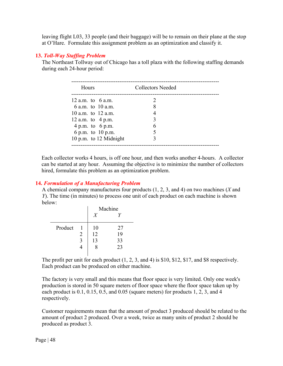leaving flight L03, 33 people (and their baggage) will be to remain on their plane at the stop at O'Hare. Formulate this assignment problem as an optimization and classify it.

## **13.** *Toll-Way Staffing Problem*

The Northeast Tollway out of Chicago has a toll plaza with the following staffing demands during each 24-hour period:

| <b>Hours</b>           | Collectors Needed |
|------------------------|-------------------|
| 12 a.m. to $6$ a.m.    | $\mathcal{D}$     |
| 6 a.m. to $10$ a.m.    | 8                 |
| 10 a.m. to $12$ a.m.   |                   |
| 12 a.m. to $4 p.m.$    | 3                 |
| $4 p.m.$ to $6 p.m.$   | 6                 |
| 6 p.m. to $10$ p.m.    |                   |
| 10 p.m. to 12 Midnight |                   |
|                        |                   |

Each collector works 4 hours, is off one hour, and then works another 4-hours. A collector can be started at any hour. Assuming the objective is to minimize the number of collectors hired, formulate this problem as an optimization problem.

### **14.** *Formulation of a Manufacturing Problem*

A chemical company manufactures four products (1, 2, 3, and 4) on two machines (*X* and *Y*). The time (in minutes) to process one unit of each product on each machine is shown below:

|         |   | Machine |    |  |
|---------|---|---------|----|--|
|         |   | $\,X\,$ |    |  |
| Product |   | 10      | 27 |  |
|         | 2 | 12      | 19 |  |
|         |   | 13      | 33 |  |
|         |   |         | 23 |  |
|         |   |         |    |  |

The profit per unit for each product (1, 2, 3, and 4) is \$10, \$12, \$17, and \$8 respectively. Each product can be produced on either machine.

The factory is very small and this means that floor space is very limited. Only one week's production is stored in 50 square meters of floor space where the floor space taken up by each product is 0.1, 0.15, 0.5, and 0.05 (square meters) for products 1, 2, 3, and 4 respectively.

Customer requirements mean that the amount of product 3 produced should be related to the amount of product 2 produced. Over a week, twice as many units of product 2 should be produced as product 3.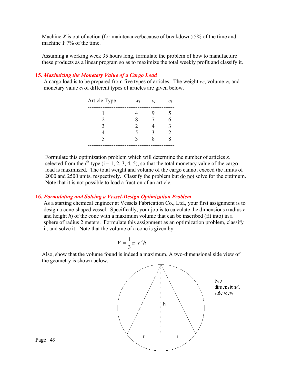Machine *X* is out of action (for maintenance/because of breakdown) 5% of the time and machine *Y* 7% of the time.

Assuming a working week 35 hours long, formulate the problem of how to manufacture these products as a linear program so as to maximize the total weekly profit and classify it.

# **15.** *Maximizing the Monetary Value of a Cargo Load*

A cargo load is to be prepared from five types of articles. The weight  $w_i$ , volume  $v_i$ , and monetary value  $c_i$  of different types of articles are given below.

| Article Type | $W_i$ | $\nu_i$ | Ci |
|--------------|-------|---------|----|
|              |       |         | ↖  |
|              | x     |         | ŀ  |
|              |       |         |    |
|              | ↖     | 2       | ') |
|              |       |         |    |
|              |       |         |    |

Formulate this optimization problem which will determine the number of articles *xi* selected from the  $i<sup>th</sup>$  type ( $i = 1, 2, 3, 4, 5$ ), so that the total monetary value of the cargo load is maximized. The total weight and volume of the cargo cannot exceed the limits of 2000 and 2500 units, respectively. Classify the problem but do not solve for the optimum. Note that it is not possible to load a fraction of an article.

# **16.** *Formulating and Solving a Vessel-Design Optimization Problem*

As a starting chemical engineer at Vessels Fabrication Co., Ltd., your first assignment is to design a cone-shaped vessel. Specifically, your job is to calculate the dimensions (radius *r* and height *h*) of the cone with a maximum volume that can be inscribed (fit into) in a sphere of radius 2 meters. Formulate this assignment as an optimization problem, classify it, and solve it. Note that the volume of a cone is given by

$$
V=\frac{1}{3}\pi r^2h
$$

Also, show that the volume found is indeed a maximum. A two-dimensional side view of the geometry is shown below.



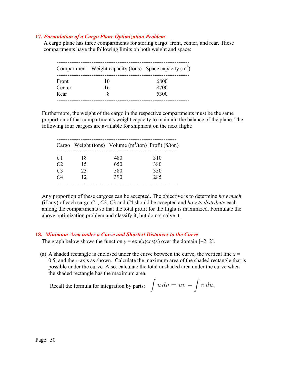# **17.** *Formulation of a Cargo Plane Optimization Problem*

A cargo plane has three compartments for storing cargo: front, center, and rear. These compartments have the following limits on both weight and space:

|        | Compartment Weight capacity (tons) Space capacity $(m3)$ |      |
|--------|----------------------------------------------------------|------|
| Front  | 10                                                       | 6800 |
| Center | 16                                                       | 8700 |
| Rear   |                                                          | 5300 |
|        |                                                          |      |

Furthermore, the weight of the cargo in the respective compartments must be the same proportion of that compartment's weight capacity to maintain the balance of the plane. The following four cargoes are available for shipment on the next flight:

|                |    | Cargo Weight (tons) Volume $(m^3/ton)$ Profit (\$/ton) |     |
|----------------|----|--------------------------------------------------------|-----|
| C <sub>1</sub> | 18 | 480                                                    | 310 |
| $\mathcal{C}$  | 15 | 650                                                    | 380 |
| C <sub>3</sub> | 23 | 580                                                    | 350 |
| C <sub>4</sub> | 12 | 390                                                    | 285 |
|                |    |                                                        |     |

Any proportion of these cargoes can be accepted. The objective is to determine *how much* (if any) of each cargo *C*1, *C*2, *C*3 and *C*4 should be accepted and *how to distribute* each among the compartments so that the total profit for the flight is maximized. Formulate the above optimization problem and classify it, but do not solve it.

# **18.** *Minimum Area under a Curve and Shortest Distances to the Curve*

The graph below shows the function  $y = \exp(x)\cos(x)$  over the domain [−2, 2].

(a) A shaded rectangle is enclosed under the curve between the curve, the vertical line  $x =$ 0.5, and the *x*-axis as shown. Calculate the maximum area of the shaded rectangle that is possible under the curve. Also, calculate the total unshaded area under the curve when the shaded rectangle has the maximum area.

Recall the formula for integration by parts:

$$
\int u\,dv = uv - \int v\,du,
$$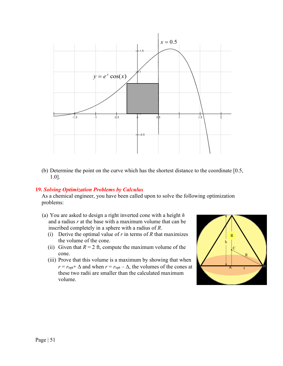

(b) Determine the point on the curve which has the shortest distance to the coordinate [0.5, 1.0].

# **19.** *Solving Optimization Problems by Calculus*

As a chemical engineer, you have been called upon to solve the following optimization problems:

- (a) You are asked to design a right inverted cone with a height *h* and a radius *r* at the base with a maximum volume that can be inscribed completely in a sphere with a radius of *R*.
	- (i) Derive the optimal value of  $r$  in terms of  $R$  that maximizes the volume of the cone.
	- (ii) Given that  $R = 2$  ft, compute the maximum volume of the cone.
	- (iii) Prove that this volume is a maximum by showing that when  $r = r_{opt} + \Delta$  and when  $r = r_{opt} - \Delta$ , the volumes of the cones at these two radii are smaller than the calculated maximum volume.

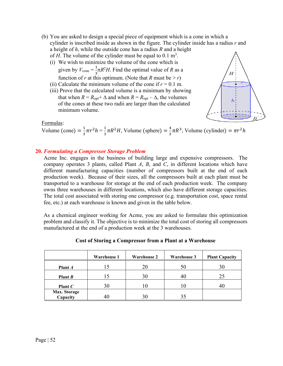- (b) You are asked to design a special piece of equipment which is a cone in which a cylinder is inscribed inside as shown in the figure. The cylinder inside has a radius *r* and a height of *h*, while the outside cone has a radius *R* and a height of  $H$ . The volume of the cylinder must be equal to  $0.1 \text{ m}^3$ .
	- (i) We wish to minimize the volume of the cone which is given by  $V_{\text{cone}} = \frac{1}{2}$  $\frac{1}{3} \pi R^2 H$ . Find the optimal value of *R* as a function of *r* at this optimum. (Note that *R* must be  $\geq r$ )
	- (ii) Calculate the minimum volume of the cone if  $r = 0.1$  m.
	- (iii) Prove that the calculated volume is a minimum by showing that when  $R = R_{opt} + \Delta$  and when  $R = R_{opt} - \Delta$ , the volumes of the cones at these two radii are larger than the calculated minimum volume.



# Formulas:

Volume (cone) =  $\frac{1}{3}\pi r^2 h = \frac{1}{3}$  $\frac{1}{3}\pi R^2 H$ , Volume (sphere) =  $\frac{4}{3}\pi R^3$ , Volume (cylinder) =  $\pi r^2 h$ 

# **20.** *Formulating a Compressor Storage Problem*

Acme Inc. engages in the business of building large and expensive compressors. The company operates 3 plants, called Plant *A*, *B*, and *C*, in different locations which have different manufacturing capacities (number of compressors built at the end of each production week). Because of their sizes, all the compressors built at each plant must be transported to a warehouse for storage at the end of each production week. The company owns three warehouses in different locations, which also have different storage capacities. The total cost associated with storing one compressor (e.g. transportation cost, space rental fee, etc.) at each warehouse is known and given in the table below.

As a chemical engineer working for Acme, you are asked to formulate this optimization problem and classify it. The objective is to minimize the total cost of storing all compressors manufactured at the end of a production week at the 3 warehouses.

|                          | <b>Warehouse 1</b> | <b>Warehouse 2</b> | <b>Warehouse 3</b> | <b>Plant Capacity</b> |
|--------------------------|--------------------|--------------------|--------------------|-----------------------|
| Plant A                  |                    | 20                 | 50                 | 30                    |
| Plant B                  |                    | 30                 |                    | 25                    |
| Plant C                  | 30                 | l ()               | ТU                 |                       |
| Max. Storage<br>Capacity | 40                 | 30                 | 35                 |                       |

**Cost of Storing a Compressor from a Plant at a Warehouse**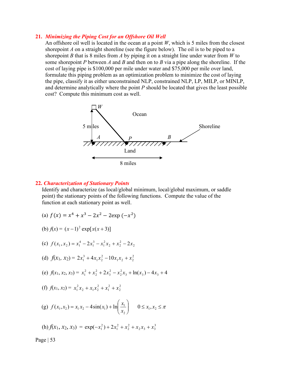#### **21.** *Minimizing the Piping Cost for an Offshore Oil Well*

An offshore oil well is located in the ocean at a point *W*, which is 5 miles from the closest shorepoint *A* on a straight shoreline (see the figure below). The oil is to be piped to a shorepoint *B* that is 8 miles from *A* by piping it on a straight line under water from *W* to some shorepoint *P* between *A* and *B* and then on to *B* via a pipe along the shoreline. If the cost of laying pipe is \$100,000 per mile under water and \$75,000 per mile over land, formulate this piping problem as an optimization problem to minimize the cost of laying the pipe, classify it as either unconstrained NLP, constrained NLP, LP, MILP, or MINLP, and determine analytically where the point *P* should be located that gives the least possible cost? Compute this minimum cost as well.



#### **22.** *Characterization of Stationary Points*

Identify and characterize (as local/global minimum, local/global maximum, or saddle point) the stationary points of the following functions. Compute the value of the function at each stationary point as well.

(a)  $f(x) = x^4 + x^3 - 2x^2 - 2e^{-}(x^2)$ 

(b) 
$$
f(x) = (x-1)^2 \exp[x(x+3)]
$$

(c)  $f(x_1, x_2) = x_1^4 - 2x_1^3 - x_1^2x_2 + x_2^2 - 2x_2$ 2  $\mathcal{D}_2$ 2 1 3  $f(x_1, x_2) = x_1^4 - 2x_1^3 - x_1^2x_2 + x_2^2 - 2x_1^3$ 

(d) 
$$
f(x_1, x_2) = 2x_1^3 + 4x_1x_2^2 - 10x_1x_2 + x_2^2
$$

- (e)  $f(x_1, x_2, x_3) = x_1^2 + x_2^2 + 2x_3^2 x_2^2x_3 + \ln(x_3) 4x_3 + 4$ 2 3 2 2  $x_1^2 + x_2^2 + 2x_3^2 - x_2^2x_3 + \ln(x_3) - 4x_3 +$
- (f)  $f(x_1, x_2) = x_1^2 x_2 + x_1 x_2^2 + x_1^2 + x_2^2$ 2 1 2 2  $\lambda_1 \lambda_2$  $x_1^2 x_2 + x_1 x_2^2 + x_1^2 + x_2^2$
- (g)  $f(x_1, x_2) = x_1 x_2 4\sin(x_1) + \ln\left|\frac{x_1}{x}\right|$   $0 \le x_1, x_2 \le \pi$ J  $\setminus$  $\overline{\phantom{a}}$  $\setminus$  $= x_1 x_2 - 4 \sin(x_1) + \ln\left(\frac{x_1}{x_2}\right) \qquad 0 \le x_1, x_2$ 2  $(x_1, x_2) = x_1 x_2 - 4 \sin(x_1) + \ln\left(\frac{x_1}{x_2}\right)$   $0 \le x_1, x_2$  $f(x_1, x_2) = x_1 x_2 - 4 \sin(x_1) + \ln \left( \frac{x_1}{x_2} \right)$
- (h)  $f(x_1, x_2, x_3) = \exp(-x_1^2) + 2x_1^2 + x_2^2 + x_2x_3 + x_3^3$ 2 2 2  $\exp(-x_1^2) + 2x_1^2 + x_2^2 + x_2x_3 + x$

Page | 53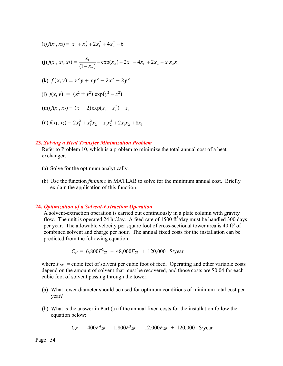(i) 
$$
f(x_1, x_2) = x_1^3 + x_2^3 + 2x_1^2 + 4x_2^2 + 6
$$
  
\n(j)  $f(x_1, x_2, x_3) = \frac{x_1}{(1 - x_2)} - \exp(x_2) + 2x_1^3 - 4x_1 + 2x_2 + x_1x_2x_3$   
\n(k)  $f(x, y) = x^2y + xy^2 - 2x^2 - 2y^2$   
\n(l)  $f(x, y) = (x^2 + y^2) \exp(y^2 - x^2)$   
\n(m)  $f(x_1, x_2) = (x_1 - 2) \exp(x_1 + x_2^2) + x_2$   
\n(n)  $f(x_1, x_2) = 2x_1^2 + x_1^2x_2 - x_1x_2^2 + 2x_1x_2 + 8x_1$ 

#### **23.** *Solving a Heat Transfer Minimization Problem*

Refer to Problem 10, which is a problem to minimize the total annual cost of a heat exchanger.

- (a) Solve for the optimum analytically.
- (b) Use the function *fminunc* in MATLAB to solve for the minimum annual cost. Briefly explain the application of this function.

#### **24.** *Optimization of a Solvent-Extraction Operation*

A solvent-extraction operation is carried out continuously in a plate column with gravity flow. The unit is operated 24 hr/day. A feed rate of 1500  $ft^3$ /day must be handled 300 days per year. The allowable velocity per square foot of cross-sectional tower area is 40  $ft<sup>3</sup>$  of combined solvent and charge per hour. The annual fixed costs for the installation can be predicted from the following equation:

$$
C_F = 6{,}800F_{SF}^2 - 48{,}000F_{SF} + 120{,}000 \text{ s/year}
$$

where  $F_{SF}$  = cubic feet of solvent per cubic foot of feed. Operating and other variable costs depend on the amount of solvent that must be recovered, and those costs are \$0.04 for each cubic foot of solvent passing through the tower.

- (a) What tower diameter should be used for optimum conditions of minimum total cost per year?
- (b) What is the answer in Part (a) if the annual fixed costs for the installation follow the equation below:

$$
C_F = 400F^4_{SF} - 1{,}800F^3_{SF} - 12{,}000F_{SF} + 120{,}000
$$
 *\$*/year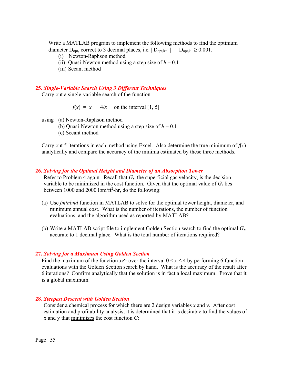Write a MATLAB program to implement the following methods to find the optimum diameter  $D_{opt}$ , correct to 3 decimal places, i.e.  $|D_{opt,k+1}| - |D_{opt,k}| \ge 0.001$ .

- (i) Newton-Raphson method
- (ii) Quasi-Newton method using a step size of  $h = 0.1$
- (iii) Secant method

## **25.** *Single-Variable Search Using 3 Different Techniques*

Carry out a single-variable search of the function

 $f(x) = x + 4/x$  on the interval [1, 5]

using (a) Newton-Raphson method

- (b) Quasi-Newton method using a step size of  $h = 0.1$
- (c) Secant method

Carry out 5 iterations in each method using Excel. Also determine the true minimum of  $f(x)$ analytically and compare the accuracy of the minima estimated by these three methods.

#### **26.** *Solving for the Optimal Height and Diameter of an Absorption Tower*

Refer to Problem 4 again. Recall that *G*s, the superficial gas velocity, is the decision variable to be minimized in the cost function. Given that the optimal value of  $G<sub>s</sub>$  lies between 1000 and 2000 lbm/ft<sup>2</sup>-hr, do the following:

- (a) Use *fminbnd* function in MATLAB to solve for the optimal tower height, diameter, and minimum annual cost. What is the number of iterations, the number of function evaluations, and the algorithm used as reported by MATLAB?
- (b) Write a MATLAB script file to implement Golden Section search to find the optimal *G*s, accurate to 1 decimal place. What is the total number of iterations required?

## **27.** *Solving for a Maximum Using Golden Section*

Find the maximum of the function  $xe^{-x}$  over the interval  $0 \le x \le 4$  by performing 6 function evaluations with the Golden Section search by hand. What is the accuracy of the result after 6 iterations? Confirm analytically that the solution is in fact a local maximum. Prove that it is a global maximum.

#### **28***. Steepest Descent with Golden Section*

Consider a chemical process for which there are 2 design variables *x* and *y*. After cost estimation and profitability analysis, it is determined that it is desirable to find the values of x and y that minimizes the cost function *C*: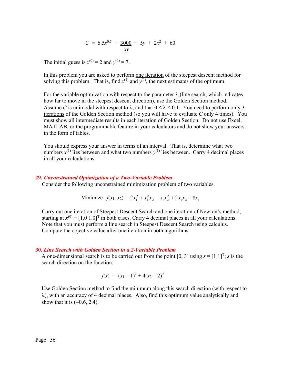$$
C = 6.5x^{0.5} + \frac{3000}{xy} + 5y + 2x^2 + 60
$$

The initial guess is  $x^{(0)} = 2$  and  $y^{(0)} = 7$ .

In this problem you are asked to perform one iteration of the steepest descent method for solving this problem. That is, find  $x^{(1)}$  and  $y^{(1)}$ , the next estimates of the optimum.

For the variable optimization with respect to the parameter  $\lambda$  (line search, which indicates how far to move in the steepest descent direction), use the Golden Section method. Assume *C* is unimodal with respect to  $\lambda$ , and that  $0 \le \lambda \le 0.1$ . You need to perform only 3 iterations of the Golden Section method (so you will have to evaluate *C* only 4 times). You must show all intermediate results in each iteration of Golden Section. Do not use Excel, MATLAB, or the programmable feature in your calculators and do not show your answers in the form of tables.

You should express your answer in terms of an interval. That is, determine what two numbers  $x^{(1)}$  lies between and what two numbers  $y^{(1)}$  lies between. Carry 4 decimal places in all your calculations.

#### **29***. Unconstrained Optimization of a Two-Variable Problem*

Consider the following unconstrained minimization problem of two variables.

Minimize 
$$
f(x_1, x_2) = 2x_1^2 + x_1^2 x_2 - x_1 x_2^2 + 2x_1 x_2 + 8x_1
$$

Carry out one iteration of Steepest Descent Search and one iteration of Newton's method, starting at  $x^{(0)} = [1.0 \ 1.0]^T$  in both cases. Carry 4 decimal places in all your calculations. Note that you must perform a line search in Steepest Descent Search using calculus. Compute the objective value after one iteration in both algorithms.

#### **30.** *Line Search with Golden Section in a 2-Variable Problem*

A one-dimensional search is to be carried out from the point [0, 3] using  $s = [1 \ 1]^T$ ; *s* is the search direction on the function:

$$
f(x) = (x_1 - 1)^2 + 4(x_2 - 2)^2
$$

Use Golden Section method to find the minimum along this search direction (with respect to λ), with an accuracy of 4 decimal places. Also, find this optimum value analytically and show that it is  $(-0.6, 2.4)$ .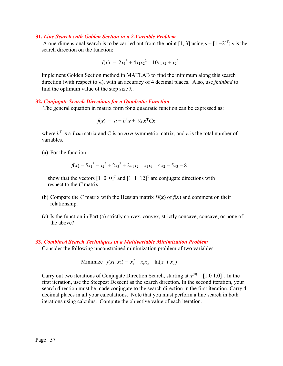#### **31.** *Line Search with Golden Section in a 2-Variable Problem*

A one-dimensional search is to be carried out from the point [1, 3] using  $s = [1 - 2]^T$ ; *s* is the search direction on the function:

$$
f(x) = 2x_1^3 + 4x_1x_2^2 - 10x_1x_2 + x_2^2
$$

Implement Golden Section method in MATLAB to find the minimum along this search direction (with respect to λ), with an accuracy of 4 decimal places. Also, use *fminbnd* to find the optimum value of the step size  $\lambda$ .

## **32.** *Conjugate Search Directions for a Quadratic Function*

The general equation in matrix form for a quadratic function can be expressed as:

$$
f(x) = a + b^{T}x + \frac{1}{2}x^{T}Cx
$$

where  $b^T$  is a *1xn* matrix and C is an *nxn* symmetric matrix, and *n* is the total number of variables.

(a) For the function

$$
f(x) = 5x_1^2 + x_2^2 + 2x_3^2 + 2x_1x_2 - x_1x_3 - 4x_2 + 5x_3 + 8
$$

show that the vectors  $[1 \ 0 \ 0]^T$  and  $[1 \ 1 \ 12]^T$  are conjugate directions with respect to the *C* matrix.

- (b) Compare the *C* matrix with the Hessian matrix  $H(x)$  of  $f(x)$  and comment on their relationship.
- (c) Is the function in Part (a) strictly convex, convex, strictly concave, concave, or none of the above?

#### **33.** *Combined Search Techniques in a Multivariable Minimization Problem*

Consider the following unconstrained minimization problem of two variables.

Minimize 
$$
f(x_1, x_2) = x_1^2 - x_1x_2 + \ln(x_1 + x_2)
$$

Carry out two iterations of Conjugate Direction Search, starting at  $x^{(0)} = [1.0 \ 1.0]^T$ . In the first iteration, use the Steepest Descent as the search direction. In the second iteration, your search direction must be made conjugate to the search direction in the first iteration. Carry 4 decimal places in all your calculations. Note that you must perform a line search in both iterations using calculus. Compute the objective value of each iteration.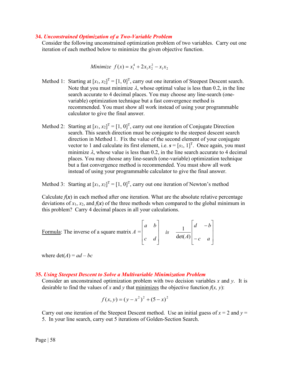#### **34.** *Unconstrained Optimization of a Two-Variable Problem*

Consider the following unconstrained optimization problem of two variables. Carry out one iteration of each method below to minimize the given objective function.

Minimize 
$$
f(x) = x_1^4 + 2x_1x_2^2 - x_1x_2
$$

- Method 1: Starting at  $[x_1, x_2]^T = [1, 0]^T$ , carry out one iteration of Steepest Descent search. Note that you must minimize  $\lambda$ , whose optimal value is less than 0.2, in the line search accurate to 4 decimal places. You may choose any line-search (onevariable) optimization technique but a fast convergence method is recommended. You must show all work instead of using your programmable calculator to give the final answer.
- Method 2: Starting at  $[x_1, x_2]^T = [1, 0]^T$ , carry out one iteration of Conjugate Direction search. This search direction must be conjugate to the steepest descent search direction in Method 1. Fix the value of the second element of your conjugate vector to 1 and calculate its first element, i.e.  $s = [s_1, 1]^T$ . Once again, you must minimize  $\lambda$ , whose value is less than 0.2, in the line search accurate to 4 decimal places. You may choose any line-search (one-variable) optimization technique but a fast convergence method is recommended. You must show all work instead of using your programmable calculator to give the final answer.

Method 3: Starting at  $[x_1, x_2]^T = [1, 0]^T$ , carry out one iteration of Newton's method

Calculate  $f(x)$  in each method after one iteration. What are the absolute relative percentage deviations of  $x_1, x_2$ , and  $f(x)$  of the three methods when compared to the global minimum in this problem? Carry 4 decimal places in all your calculations.

Formula: The inverse of a square matrix 
$$
A = \begin{bmatrix} a & b \\ c & d \end{bmatrix}
$$
 is  $\frac{1}{\det(A)} \begin{bmatrix} d & -b \\ -c & a \end{bmatrix}$ 

where  $det(A) = ad - bc$ 

# **35.** *Using Steepest Descent to Solve a Multivariable Minimization Problem*

Consider an unconstrained optimization problem with two decision variables *x* and *y*. It is desirable to find the values of *x* and *y* that minimizes the objective function  $f(x, y)$ :

$$
f(x, y) = (y - x2)2 + (5 - x)2
$$

Carry out one iteration of the Steepest Descent method. Use an initial guess of  $x = 2$  and  $y = 1$ 5. In your line search, carry out 5 iterations of Golden-Section Search.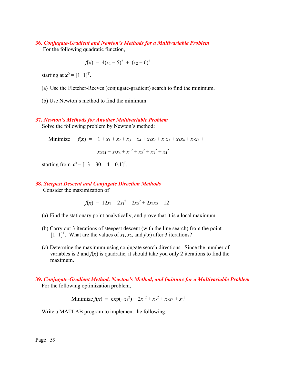**36.** *Conjugate-Gradient and Newton's Methods for a Multivariable Problem* For the following quadratic function,

$$
f(x) = 4(x_1 - 5)^2 + (x_2 - 6)^2
$$

starting at  $x^0 = [1 \ 1]^T$ .

- (a) Use the Fletcher-Reeves (conjugate-gradient) search to find the minimum.
- (b) Use Newton's method to find the minimum.

#### **37.** *Newton's Methods for Another Multivariable Problem*

Solve the following problem by Newton's method:

Minimize 
$$
f(x) = 1 + x_1 + x_2 + x_3 + x_4 + x_1x_2 + x_1x_3 + x_1x_4 + x_2x_3 + x_2x_4 + x_3x_4 + x_1^2 + x_2^2 + x_3^2 + x_4^2
$$

starting from  $x^0 = [-3 \ -30 \ -4 \ -0.1]^\text{T}$ .

## **38.** *Steepest Descent and Conjugate Direction Methods*

Consider the maximization of

$$
f(x) = 12x_1 - 2x_1^2 - 2x_2^2 + 2x_1x_2 - 12
$$

- (a) Find the stationary point analytically, and prove that it is a local maximum.
- (b) Carry out 3 iterations of steepest descent (with the line search) from the point  $[1\ 1]^T$ . What are the values of  $x_1, x_2$ , and  $f(x)$  after 3 iterations?
	- (c) Determine the maximum using conjugate search directions. Since the number of variables is 2 and  $f(x)$  is quadratic, it should take you only 2 iterations to find the maximum.
- **39.** *Conjugate-Gradient Method, Newton's Method, and fminunc for a Multivariable Problem* For the following optimization problem,

Minimize 
$$
f(x) = \exp(-x_1^2) + 2x_1^2 + x_2^2 + x_2x_3 + x_3^3
$$

Write a MATLAB program to implement the following: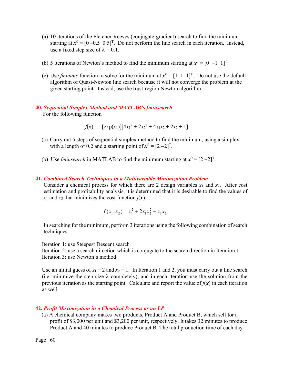- (a) 10 iterations of the Fletcher-Reeves (conjugate-gradient) search to find the minimum starting at  $x^0 = [0 - 0.5 \ 0.5]^T$ . Do not perform the line search in each iteration. Instead, use a fixed step size of  $\lambda = 0.1$ .
- (b) 5 iterations of Newton's method to find the minimum starting at  $x^0 = [0 \ -1 \ 1]^T$ .
- (c) Use *fminunc* function to solve for the minimum at  $x^0 = \begin{bmatrix} 1 \\ 1 \\ 1 \end{bmatrix}^T$ . Do not use the default algorithm of Quasi-Newton line search because it will not converge the problem at the given starting point. Instead, use the trust-region Newton algorithm.

# **40.** *Sequential Simplex Method and MATLAB's fminsearch*

For the following function

$$
f(x) = [\exp(x_1)][4x_1^2 + 2x_2^2 + 4x_1x_2 + 2x_2 + 1]
$$

- (a) Carry out 5 steps of sequential simplex method to find the minimum, using a simplex with a length of 0.2 and a starting point of  $x^0 = [2 -2]^T$ .
- (b) Use *fminsearch* in MATLAB to find the minimum starting at  $x^0 = [2 2]^T$ .

# **41.** *Combined Search Techniques in a Multivariable Minimization Problem*

Consider a chemical process for which there are 2 design variables  $x_1$  and  $x_2$ . After cost estimation and profitability analysis, it is determined that it is desirable to find the values of  $x_1$  and  $x_2$  that minimizes the cost function  $f(x)$ :

$$
f(x_1, x_2) = x_1^2 + 2x_1x_2^2 - x_1x_2
$$

In searching for the minimum, perform 3 iterations using the following combination of search techniques:

Iteration 1: use Steepest Descent search

Iteration 2: use a search direction which is conjugate to the search direction in Iteration 1 Iteration 3: use Newton's method

Use an initial guess of  $x_1 = 2$  and  $x_2 = 1$ . In Iteration 1 and 2, you must carry out a line search (i.e. minimize the step size  $\lambda$  completely), and in each iteration use the solution from the previous iteration as the starting point. Calculate and report the value of  $f(x)$  in each iteration as well.

# **42.** *Profit Maximization in a Chemical Process as an LP*

(a) A chemical company makes two products, Product A and Product B, which sell for a profit of \$3,000 per unit and \$3,200 per unit, respectively. It takes 32 minutes to produce Product A and 40 minutes to produce Product B. The total production time of each day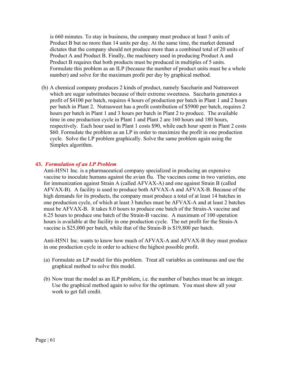is 660 minutes. To stay in business, the company must produce at least 5 units of Product B but no more than 14 units per day. At the same time, the market demand dictates that the company should not produce more than a combined total of 20 units of Product A and Product B. Finally, the machinery used in producing Product A and Product B requires that both products must be produced in multiples of 5 units. Formulate this problem as an ILP (because the number of product units must be a whole number) and solve for the maximum profit per day by graphical method.

(b) A chemical company produces 2 kinds of product, namely Saccharin and Nutrasweet which are sugar substitutes because of their extreme sweetness. Saccharin generates a profit of \$4100 per batch, requires 4 hours of production per batch in Plant 1 and 2 hours per batch in Plant 2. Nutrasweet has a profit contribution of \$5900 per batch, requires 2 hours per batch in Plant 1 and 3 hours per batch in Plant 2 to produce. The available time in one production cycle in Plant 1 and Plant 2 are 160 hours and 180 hours, respectively. Each hour used in Plant 1 costs \$90, while each hour spent in Plant 2 costs \$60. Formulate the problem as an LP in order to maximize the profit in one production cycle. Solve the LP problem graphically. Solve the same problem again using the Simplex algorithm.

# **43.** *Formulation of an LP Problem*

Anti-H5N1 Inc. is a pharmaceutical company specialized in producing an expensive vaccine to inoculate humans against the avian flu. The vaccines come in two varieties, one for immunization against Strain A (called AFVAX-A) and one against Strain B (called AFVAX-B). A facility is used to produce both AFVAX-A and AFVAX-B. Because of the high demands for its products, the company must produce a total of at least 14 batches in one production cycle, of which at least 3 batches must be AFVAX-A and at least 2 batches must be AFVAX-B. It takes 8.0 hours to produce one batch of the Strain-A vaccine and 6.25 hours to produce one batch of the Strain-B vaccine. A maximum of 100 operation hours is available at the facility in one production cycle. The net profit for the Strain-A vaccine is \$25,000 per batch, while that of the Strain-B is \$19,800 per batch.

Anti-H5N1 Inc. wants to know how much of AFVAX-A and AFVAX-B they must produce in one production cycle in order to achieve the highest possible profit.

- (a) Formulate an LP model for this problem. Treat all variables as continuous and use the graphical method to solve this model.
- (b) Now treat the model as an ILP problem, i.e. the number of batches must be an integer. Use the graphical method again to solve for the optimum. You must show all your work to get full credit.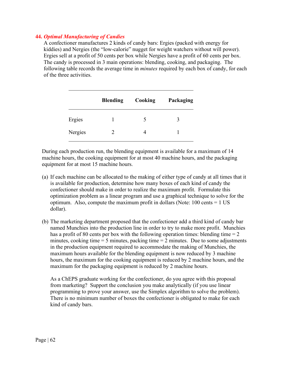# **44.** *Optimal Manufacturing of Candies*

A confectioner manufactures 2 kinds of candy bars: Ergies (packed with energy for kiddies) and Nergies (the "low-calorie" nugget for weight watchers without will power). Ergies sell at a profit of 50 cents per box while Nergies have a profit of 60 cents per box. The candy is processed in 3 main operations: blending, cooking, and packaging. The following table records the average time in *minutes* required by each box of candy, for each of the three activities.

|         | <b>Blending</b> | Cooking | Packaging |
|---------|-----------------|---------|-----------|
| Ergies  |                 | 5       | 3         |
| Nergies | 2               |         |           |

During each production run, the blending equipment is available for a maximum of 14 machine hours, the cooking equipment for at most 40 machine hours, and the packaging equipment for at most 15 machine hours.

- (a) If each machine can be allocated to the making of either type of candy at all times that it is available for production, determine how many boxes of each kind of candy the confectioner should make in order to realize the maximum profit. Formulate this optimization problem as a linear program and use a graphical technique to solve for the optimum. Also, compute the maximum profit in dollars (Note:  $100$  cents  $= 1$  US dollar).
- (b) The marketing department proposed that the confectioner add a third kind of candy bar named Munchies into the production line in order to try to make more profit. Munchies has a profit of 80 cents per box with the following operation times: blending time  $= 2$ minutes, cooking time  $= 5$  minutes, packing time  $= 2$  minutes. Due to some adjustments in the production equipment required to accommodate the making of Munchies, the maximum hours available for the blending equipment is now reduced by 3 machine hours, the maximum for the cooking equipment is reduced by 2 machine hours, and the maximum for the packaging equipment is reduced by 2 machine hours.

As a ChEPS graduate working for the confectioner, do you agree with this proposal from marketing? Support the conclusion you make analytically (if you use linear programming to prove your answer, use the Simplex algorithm to solve the problem). There is no minimum number of boxes the confectioner is obligated to make for each kind of candy bars.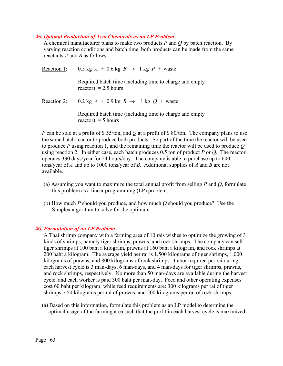## **45.** *Optimal Production of Two Chemicals as an LP Problem*

A chemical manufacturer plans to make two products *P* and *Q* by batch reaction. By varying reaction conditions and batch time, both products can be made from the same reactants *A* and *B* as follows:

| Reaction 1: | $0.5 \text{ kg } A + 0.6 \text{ kg } B \rightarrow 1 \text{ kg } P + \text{waste}$ |
|-------------|------------------------------------------------------------------------------------|
|             | Required batch time (including time to charge and empty<br>reactor) = $2.5$ hours  |
| Reaction 2: | 0.2 kg $A + 0.9$ kg $B \rightarrow 1$ kg $Q +$ waste                               |
|             | Required batch time (including time to charge and empty<br>reactor) = $5$ hours    |

*P* can be sold at a profit of \$ 55/ton, and *Q* at a profit of \$ 80/ton. The company plans to use the same batch reactor to produce both products. So part of the time the reactor will be used to produce *P* using reaction 1, and the remaining time the reactor will be used to produce *Q* using reaction 2. In either case, each batch produces 0.5 ton of product *P* or *Q*. The reactor operates 330 days/year for 24 hours/day. The company is able to purchase up to 600 tons/year of *A* and up to 1000 tons/year of *B*. Additional supplies of *A* and *B* are not available.

- (a) Assuming you want to maximize the total annual profit from selling *P* and *Q*, formulate this problem as a linear programming (LP) problem.
- (b) How much *P* should you produce, and how much *Q* should you produce? Use the Simplex algorithm to solve for the optimum.

# **46.** *Formulation of an LP Problem*

A Thai shrimp company with a farming area of 10 rais wishes to optimize the growing of 3 kinds of shrimps, namely tiger shrimps, prawns, and rock shrimps. The company can sell tiger shrimps at 100 baht a kilogram, prawns at 160 baht a kilogram, and rock shrimps at 200 baht a kilogram. The average yield per rai is 1,500 kilograms of tiger shrimps, 1,000 kilograms of prawns, and 800 kilograms of rock shrimps. Labor required per rai during each harvest cycle is 3 man-days, 6 man-days, and 4 man-days for tiger shrimps, prawns, and rock shrimps, respectively. No more than 50 man-days are available during the harvest cycle, and each worker is paid 300 baht per man-day. Feed and other operating expenses cost 60 baht per kilogram, while feed requirements are: 300 kilograms per rai of tiger shrimps, 450 kilograms per rai of prawns, and 500 kilograms per rai of rock shrimps.

(a) Based on this information, formulate this problem as an LP model to determine the optimal usage of the farming area such that the profit in each harvest cycle is maximized.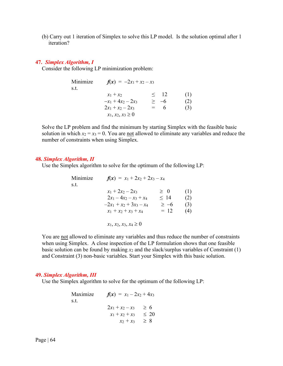(b) Carry out 1 iteration of Simplex to solve this LP model. Is the solution optimal after 1 iteration?

#### **47.** *Simplex Algorithm, I*

Consider the following LP minimization problem:

| Minimize<br>s.t. | $f(x) = -2x_1 + x_2 - x_3$ |           |     |
|------------------|----------------------------|-----------|-----|
|                  | $x_1 + x_2$                | $\leq$ 12 | (1) |
|                  | $-x_1 + 4x_2 - 2x_3$       | $> -6$    | (2) |
|                  | $2x_1 + x_2 - 2x_3$        | 6<br>$=$  | (3) |
|                  | $x_1, x_2, x_3 \geq 0$     |           |     |

Solve the LP problem and find the minimum by starting Simplex with the feasible basic solution in which  $x_2 = x_3 = 0$ . You are not allowed to eliminate any variables and reduce the number of constraints when using Simplex.

#### **48.** *Simplex Algorithm, II*

Use the Simplex algorithm to solve for the optimum of the following LP:

| Minimize | $f(x) = x_1 + 2x_2 + 2x_3 - x_4$ |           |     |
|----------|----------------------------------|-----------|-----|
| s.t.     |                                  |           |     |
|          | $x_1 + 2x_2 - 2x_3$              | > 0       | (1) |
|          | $2x_1-4x_2-x_3+x_4$              | $\leq$ 14 | (2) |
|          | $-2x_1 + x_2 + 3x_3 - x_4$       | $\geq -6$ | (3) |
|          | $x_1 + x_2 + x_3 + x_4$          | $= 12$    | (4) |
|          |                                  |           |     |
|          | $x_1, x_2, x_3, x_4 \geq 0$      |           |     |

You are not allowed to eliminate any variables and thus reduce the number of constraints when using Simplex.A close inspection of the LP formulation shows that one feasible basic solution can be found by making *x*<sup>2</sup> and the slack/surplus variables of Constraint (1) and Constraint (3) non-basic variables. Start your Simplex with this basic solution.

#### **49.** *Simplex Algorithm, III*

Use the Simplex algorithm to solve for the optimum of the following LP:

Maximize  $f(x) = x_1 - 2x_2 + 4x_3$ s.t.  $2x_1 + x_2 - x_3 \ge 6$  $x_1 + x_2 + x_3 \leq 20$  $x_2 + x_3 \geq 8$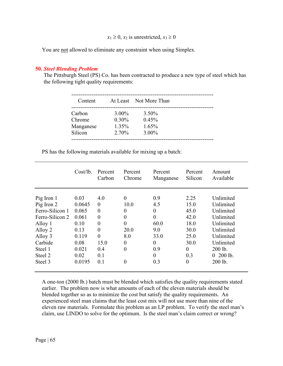## $x_1 \geq 0$ ,  $x_2$  is unrestricted,  $x_3 \geq 0$

You are not allowed to eliminate any constraint when using Simplex.

## **50.** *Steel Blending Problem*

The Pittsburgh Steel (PS) Co. has been contracted to produce a new type of steel which has the following tight quality requirements:

| Content   |          | At Least Not More Than |  |
|-----------|----------|------------------------|--|
| Carbon    | $3.00\%$ | 3.50%                  |  |
| Chrome    | $0.30\%$ | 0.45%                  |  |
| Manganese | 1.35%    | $1.65\%$               |  |
| Silicon   | 2.70%    | 3.00%                  |  |

PS has the following materials available for mixing up a batch:

|                 | Cost/lb. | Percent<br>Carbon | Percent<br>Chrome | Percent<br>Manganese | Percent<br>Silicon | Amount<br>Available |
|-----------------|----------|-------------------|-------------------|----------------------|--------------------|---------------------|
| Pig Iron 1      | 0.03     | 4.0               | $\theta$          | 0.9                  | 2.25               | Unlimited           |
| Pig Iron 2      | 0.0645   | $\boldsymbol{0}$  | 10.0              | 4.5                  | 15.0               | Unlimited           |
| Ferro-Silicon 1 | 0.065    | $\overline{0}$    | $\theta$          | $\boldsymbol{0}$     | 45.0               | Unlimited           |
| Ferro-Silicon 2 | 0.061    | $\boldsymbol{0}$  | $\theta$          | $\boldsymbol{0}$     | 42.0               | Unlimited           |
| Alloy 1         | 0.10     | $\boldsymbol{0}$  | $\theta$          | 60.0                 | 18.0               | Unlimited           |
| Alloy 2         | 0.13     | $\boldsymbol{0}$  | 20.0              | 9.0                  | 30.0               | Unlimited           |
| Alloy 3         | 0.119    | $\overline{0}$    | 8.0               | 33.0                 | 25.0               | Unlimited           |
| Carbide         | 0.08     | 15.0              | $\boldsymbol{0}$  | $\boldsymbol{0}$     | 30.0               | Unlimited           |
| Steel 1         | 0.021    | 0.4               | $\theta$          | 0.9                  | $\theta$           | 200 lb.             |
| Steel 2         | 0.02     | 0.1               |                   | $\theta$             | 0.3                | 200 lb.<br>$\Omega$ |
| Steel 3         | 0.0195   | 0.1               | $\theta$          | 0.3                  | $\boldsymbol{0}$   | 200 lb.             |

A one-ton (2000 lb.) batch must be blended which satisfies the quality requirements stated earlier. The problem now is what amounts of each of the eleven materials should be blended together so as to minimize the cost but satisfy the quality requirements. An experienced steel man claims that the least cost mix will not use more than nine of the eleven raw materials. Formulate this problem as an LP problem. To verify the steel man's claim, use LINDO to solve for the optimum. Is the steel man's claim correct or wrong?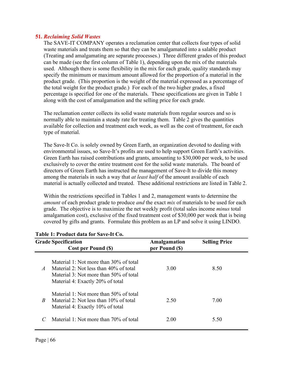# **51.** *Reclaiming Solid Wastes*

The SAVE-IT COMPANY operates a reclamation center that collects four types of solid waste materials and treats them so that they can be amalgamated into a salable product (Treating and amalgamating are separate processes.) Three different grades of this product can be made (see the first column of Table 1), depending upon the mix of the materials used. Although there is some flexibility in the mix for each grade, quality standards may specify the minimum or maximum amount allowed for the proportion of a material in the product grade. (This proportion is the weight of the material expressed as a percentage of the total weight for the product grade.) For each of the two higher grades, a fixed percentage is specified for one of the materials. These specifications are given in Table 1 along with the cost of amalgamation and the selling price for each grade.

The reclamation center collects its solid waste materials from regular sources and so is normally able to maintain a steady rate for treating them. Table 2 gives the quantities available for collection and treatment each week, as well as the cost of treatment, for each type of material.

The Save-It Co. is solely owned by Green Earth, an organization devoted to dealing with environmental issues, so Save-It's profits are used to help support Green Earth's activities. Green Earth has raised contributions and grants, amounting to \$30,000 per week, to be used exclusively to cover the entire treatment cost for the solid waste materials. The board of directors of Green Earth has instructed the management of Save-It to divide this money among the materials in such a way that *at least half* of the amount available of each material is actually collected and treated. These additional restrictions are listed in Table 2.

Within the restrictions specified in Tables 1 and 2, management wants to determine the *amount* of each product grade to produce *and* the exact *mix* of materials to be used for each grade. The objective is to maximize the net weekly profit (total sales income *minus* total amalgamation cost), exclusive of the fixed treatment cost of \$30,000 per week that is being covered by gifts and grants. Formulate this problem as an LP and solve it using LINDO.

|               | <b>Grade Specification</b><br>Cost per Pound (\$)                                                                                                              | Amalgamation<br>per Pound (\$) | <b>Selling Price</b> |  |
|---------------|----------------------------------------------------------------------------------------------------------------------------------------------------------------|--------------------------------|----------------------|--|
| $\mathcal{A}$ | Material 1: Not more than 30% of total<br>Material 2: Not less than 40% of total<br>Material 3: Not more than 50% of total<br>Material 4: Exactly 20% of total | 3.00                           | 8.50                 |  |
| B             | Material 1: Not more than 50% of total<br>Material 2: Not less than 10% of total<br>Material 4: Exactly 10% of total                                           | 2.50                           | 7.00                 |  |
|               | Material 1: Not more than 70% of total                                                                                                                         | 2.00                           | 5.50                 |  |

# **Table 1: Product data for Save-It Co.**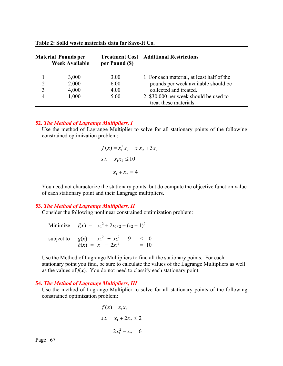|               | <b>Material Pounds per</b><br><b>Week Available</b> | per Pound (\$)               | <b>Treatment Cost</b> Additional Restrictions                                                                                                                                   |
|---------------|-----------------------------------------------------|------------------------------|---------------------------------------------------------------------------------------------------------------------------------------------------------------------------------|
| $\mathcal{D}$ | 3,000<br>2,000<br>4,000<br>1,000                    | 3.00<br>6.00<br>4.00<br>5.00 | 1. For each material, at least half of the<br>pounds per week available should be<br>collected and treated.<br>2. \$30,000 per week should be used to<br>treat these materials. |

**52.** *The Method of Lagrange Multipliers, I*

Use the method of Lagrange Multiplier to solve for all stationary points of the following constrained optimization problem:

$$
f(x) = x_1^2 x_2 - x_1 x_2 + 3x_2
$$
  
s.t.  $x_1 x_2 \le 10$   
 $x_1 + x_2 = 4$ 

You need not characterize the stationary points, but do compute the objective function value of each stationary point and their Langrage multipliers.

### **53.** *The Method of Lagrange Multipliers, II*

Consider the following nonlinear constrained optimization problem:

Minimize 
$$
f(x) = x_1^2 + 2x_1x_2 + (x_2 - 1)^2
$$
  
\nsubject to  $g(x) = x_1^2 + x_2^2 - 9 \le 0$   
\n $h(x) = x_1 + 2x_2^2 = 10$ 

Use the Method of Lagrange Multipliers to find all the stationary points. For each stationary point you find, be sure to calculate the values of the Lagrange Multipliers as well as the values of  $f(x)$ . You do not need to classify each stationary point.

#### **54.** *The Method of Lagrange Multipliers, III*

Use the method of Lagrange Multiplier to solve for all stationary points of the following constrained optimization problem:

$$
f(x) = x_1 x_2
$$
  
s.t. 
$$
x_1 + 2x_2 \le 2
$$

$$
2x_1^2 - x_2 = 6
$$

Page | 67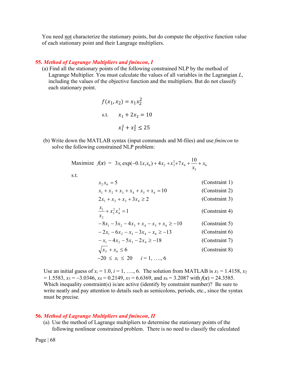You need not characterize the stationary points, but do compute the objective function value of each stationary point and their Langrage multipliers.

## **55.** *Method of Lagrange Multipliers and fmincon, I*

(a) Find all the stationary points of the following constrained NLP by the method of Lagrange Multiplier. You must calculate the values of all variables in the Lagrangian *L*, including the values of the objective function and the multipliers. But do not classify each stationary point.

$$
f(x_1, x_2) = x_1 x_2^2
$$
  
s.t. 
$$
x_1 + 2x_2 = 10
$$

$$
x_1^2 + x_2^2 \le 25
$$

(b) Write down the MATLAB syntax (input commands and M-files) and use *fmincon* to solve the following constrained NLP problem:

Maximize 
$$
f(\mathbf{x}) = 3x_1 \exp(-0.1x_1x_6) + 4x_2 + x_3^2 + 7x_4 + \frac{10}{x_5} + x_6
$$

s.t.

$$
x_{2}x_{6} = 5
$$
 (Constraint 1)  
\n
$$
x_{1} + x_{2} + x_{3} + x_{4} + x_{5} + x_{6} = 10
$$
 (Constraint 2)  
\n
$$
2x_{1} + x_{2} + x_{3} + 3x_{4} \ge 2
$$
 (Constraint 3)  
\n
$$
\frac{x_{1}}{x_{2}} + x_{3}^{2}x_{4}^{3} = 1
$$
 (Constraint 4)  
\n
$$
-8x_{1} - 3x_{2} - 4x_{3} + x_{4} - x_{5} + x_{6} \ge -10
$$
 (Constraint 5)  
\n
$$
-2x_{1} - 6x_{2} - x_{3} - 3x_{4} - x_{6} \ge -13
$$
 (Constraint 6)  
\n
$$
-x_{1} - 4x_{2} - 5x_{3} - 2x_{4} \ge -18
$$
 (Constraint 7)  
\n
$$
\sqrt{x_{5}} + x_{6} \le 6
$$
 (Constraint 8)  
\n
$$
-20 \le x_{i} \le 20
$$
  $i = 1, ..., 6$ 

Use an initial guess of  $x_i = 1.0$ ,  $i = 1, ..., 6$ . The solution from MATLAB is  $x_1 = 1.4158$ ,  $x_2$  $x_1 = 1.5583$ ,  $x_2 = -3.0346$ ,  $x_4 = 0.2149$ ,  $x_5 = 6.6369$ , and  $x_6 = 3.2087$  with  $f(x) = 24.3585$ . Which inequality constraint(s) is/are active (identify by constraint number)? Be sure to write neatly and pay attention to details such as semicolons, periods, etc., since the syntax must be precise.

#### **56.** *Method of Lagrange Multipliers and fmincon, II*

(a) Use the method of Lagrange multipliers to determine the stationary points of the following nonlinear constrained problem. There is no need to classify the calculated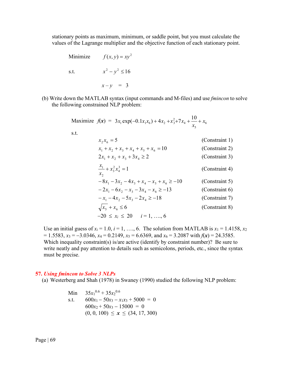stationary points as maximum, minimum, or saddle point, but you must calculate the values of the Lagrange multiplier and the objective function of each stationary point.

Minimize 
$$
f(x, y) = xy^2
$$
  
s.t.  $x^2 - y^2 \le 16$   
 $x - y = 3$ 

(b) Write down the MATLAB syntax (input commands and M-files) and use *fmincon* to solve the following constrained NLP problem:

Maximize 
$$
f(\mathbf{x}) = 3x_1 \exp(-0.1x_1x_6) + 4x_2 + x_3^2 + 7x_4 + \frac{10}{x_5} + x_6
$$

s.t.

$$
x_{2}x_{6} = 5
$$
 (Constraint 1)  
\n
$$
x_{1} + x_{2} + x_{3} + x_{4} + x_{5} + x_{6} = 10
$$
 (Constraint 2)  
\n
$$
2x_{1} + x_{2} + x_{3} + 3x_{4} \ge 2
$$
 (Constraint 3)  
\n
$$
\frac{x_{1}}{x_{2}} + x_{3}^{2}x_{4}^{3} = 1
$$
 (Constraint 4)  
\n
$$
-8x_{1} - 3x_{2} - 4x_{3} + x_{4} - x_{5} + x_{6} \ge -10
$$
 (Constraint 5)  
\n
$$
-2x_{1} - 6x_{2} - x_{3} - 3x_{4} - x_{6} \ge -13
$$
 (Constraint 6)  
\n
$$
-x_{1} - 4x_{2} - 5x_{3} - 2x_{4} \ge -18
$$
 (Constraint 7)  
\n
$$
\sqrt{x_{5}} + x_{6} \le 6
$$
 (Constraint 8)  
\n
$$
-20 \le x_{i} \le 20
$$
  $i = 1, ..., 6$ 

Use an initial guess of  $x_i = 1.0$ ,  $i = 1, ..., 6$ . The solution from MATLAB is  $x_1 = 1.4158$ ,  $x_2$  $x = 1.5583, x_3 = -3.0346, x_4 = 0.2149, x_5 = 6.6369,$  and  $x_6 = 3.2087$  with  $f(x) = 24.3585$ . Which inequality constraint(s) is/are active (identify by constraint number)? Be sure to write neatly and pay attention to details such as semicolons, periods, etc., since the syntax must be precise.

#### **57.** *Using fmincon to Solve 3 NLPs*

(a) Westerberg and Shah (1978) in Swaney (1990) studied the following NLP problem:

Min 
$$
35x_1^{0.6} + 35x_2^{0.6}
$$
  
s.t.  $600x_1 - 50x_3 - x_1x_3 + 5000 = 0$   
 $600x_2 + 50x_3 - 15000 = 0$   
 $(0, 0, 100) \le x \le (34, 17, 300)$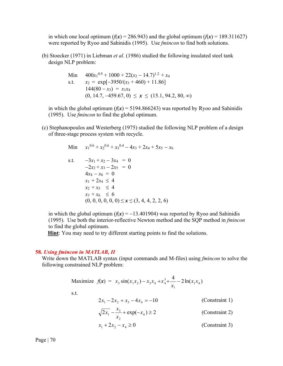in which one local optimum  $(f(x) = 286.943)$  and the global optimum  $(f(x) = 189.311627)$ were reported by Ryoo and Sahinidis (1995). Use *fmincon* to find both solutions.

(b) Stoecker (1971) in Liebman *et al.* (1986) studied the following insulated steel tank design NLP problem:

Min 
$$
400x_1^{0.9} + 1000 + 22(x_2 - 14.7)^{1.2} + x_4
$$
  
s.t.  $x_2 = \exp[-3950/(x_3 + 460) + 11.86]$   
 $144(80 - x_3) = x_1x_4$   
(0, 14.7, -459.67, 0) ≤ **x** ≤ (15.1, 94.2, 80, ∞)

in which the global optimum  $(f(x) = 5194.866243)$  was reported by Ryoo and Sahinidis (1995). Use *fmincon* to find the global optimum.

(c) Stephanopoulos and Westerberg (1975) studied the following NLP problem of a design of three-stage process system with recycle.

Min 
$$
x_1^{0.6} + x_2^{0.6} + x_3^{0.4} - 4x_3 + 2x_4 + 5x_5 - x_6
$$
  
s.t.  $-3x_1 + x_2 - 3x_4 = 0$   
 $-2x_2 + x_3 - 2x_5 = 0$   
 $4x_4 - x_6 = 0$   
 $x_1 + 2x_4 \le 4$   
 $x_2 + x_5 \le 4$   
 $x_3 + x_6 \le 6$   
 $(0, 0, 0, 0, 0, 0) \le x \le (3, 4, 4, 2, 2, 6)$ 

in which the global optimum  $(f(x) = -13.401904)$  was reported by Ryoo and Sahinidis (1995). Use both the interior-reflective Newton method and the SQP method in *fmincon* to find the global optimum.

**Hint**: You may need to try different starting points to find the solutions.

#### **58.** *Using fmincon in MATLAB, II*

Write down the MATLAB syntax (input commands and M-files) using *fmincon* to solve the following constrained NLP problem:

Maximize 
$$
f(x) = x_3 \sin(x_1 x_2) - x_3 x_4 + x_4^3 + \frac{4}{x_1} - 2 \ln(x_1 x_4)
$$

s.t.

$$
2x_1 - 2x_2 + x_3 - 4x_4 = -10
$$
 (Constraint 1)  

$$
\sqrt{2x_1} - \frac{x_3}{x_2} + \exp(-x_4) \ge 2
$$
 (Constraint 2)

 $x_1 + 2x_2 - x_4 \ge 0$  (Constraint 3)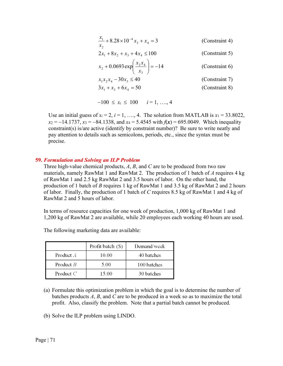$$
\frac{x_1}{x_2} + 8.28 \times 10^{-4} x_3 + x_4 = 3
$$
 (Constraint 4)  
\n
$$
2x_1 + 8x_2 + x_3 + 4x_4 \le 100
$$
 (Constraint 5)  
\n
$$
x_2 + 0.0693 \exp\left(\frac{x_2 x_4}{x_3}\right) = -14
$$
 (Constraint 6)  
\n
$$
x_1 x_2 x_4 - 30x_3 \le 40
$$
 (Constraint 7)  
\n
$$
3x_1 + x_3 + 6x_4 = 50
$$
 (Constraint 8)

$$
-100 \le x_i \le 100 \qquad i = 1, \ldots, 4
$$

Use an initial guess of  $x_i = 2$ ,  $i = 1, \ldots, 4$ . The solution from MATLAB is  $x_1 = 33.8022$ , *x*<sub>2</sub> = −14.1737, *x*<sub>3</sub> = −84.1338, and *x*<sub>4</sub> = 5.4545 with *f*(*x*) = 695.0049. Which inequality constraint(s) is/are active (identify by constraint number)? Be sure to write neatly and pay attention to details such as semicolons, periods, etc., since the syntax must be precise.

# **59.** *Formulation and Solving an ILP Problem*

Three high-value chemical products, *A*, *B*, and *C* are to be produced from two raw materials, namely RawMat 1 and RawMat 2. The production of 1 batch of *A* requires 4 kg of RawMat 1 and 2.5 kg RawMat 2 and 3.5 hours of labor. On the other hand, the production of 1 batch of *B* requires 1 kg of RawMat 1 and 3.5 kg of RawMat 2 and 2 hours of labor. Finally, the production of 1 batch of *C* requires 8.5 kg of RawMat 1 and 4 kg of RawMat 2 and 5 hours of labor.

In terms of resource capacities for one week of production, 1,000 kg of RawMat 1 and 1,200 kg of RawMat 2 are available, while 20 employees each working 40 hours are used.

|             | Profit/batch (\$) | Demand/week |
|-------------|-------------------|-------------|
| Product $A$ | 10.00             | 40 batches  |
| Product $B$ | 5.00              | 100 batches |
| Product $C$ | 15.00             | 30 batches  |

The following marketing data are available:

- (a) Formulate this optimization problem in which the goal is to determine the number of batches products *A*, *B*, and *C* are to be produced in a week so as to maximize the total profit. Also, classify the problem. Note that a partial batch cannot be produced.
- (b) Solve the ILP problem using LINDO.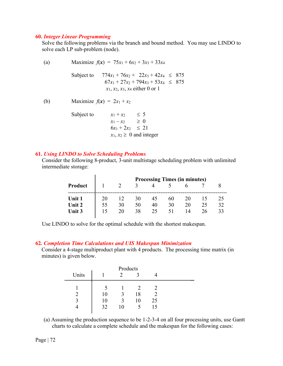# **60.** *Integer Linear Programming*

Solve the following problems via the branch and bound method. You may use LINDO to solve each LP sub-problem (node).

| (a) |            | Maximize $f(x) = 75x_1 + 6x_2 + 3x_3 + 33x_4$ |                                                                                                   |  |
|-----|------------|-----------------------------------------------|---------------------------------------------------------------------------------------------------|--|
|     |            | $x_1, x_2, x_3, x_4$ either 0 or 1            | Subject to $774x_1 + 76x_2 + 22x_3 + 42x_4 \leq 875$<br>$67x_1 + 27x_2 + 794x_3 + 53x_4 \leq 875$ |  |
| (b) |            | Maximize $f(x) = 2x_1 + x_2$                  |                                                                                                   |  |
|     | Subject to | $x_1 + x_2 \leq 5$                            |                                                                                                   |  |
|     |            | $x_1-x_2 \geq 0$                              |                                                                                                   |  |
|     |            | $6x_1 + 2x_2 \leq 21$                         |                                                                                                   |  |
|     |            |                                               | $x_1, x_2 \geq 0$ and integer                                                                     |  |

## **61.** *Using LINDO to Solve Scheduling Problems*

Consider the following 8-product, 3-unit multistage scheduling problem with unlimited intermediate storage:

|               |    | <b>Processing Times (in minutes)</b> |    |    |    |    |    |    |
|---------------|----|--------------------------------------|----|----|----|----|----|----|
| Product       |    |                                      |    |    |    |    |    |    |
| Unit 1        | 20 |                                      | 30 | 45 | 60 | 20 |    | 25 |
| Unit 2        | 55 | 30                                   | 50 | 40 | 30 | 20 | 25 | 32 |
| <b>Unit 3</b> |    | 20                                   | 38 | 25 | 51 | 14 | 26 | 33 |

Use LINDO to solve for the optimal schedule with the shortest makespan.

#### **62***. Completion Time Calculations and UIS Makespan Minimization*

Consider a 4-stage multiproduct plant with 4 products. The processing time matrix (in minutes) is given below.

| Products |    |               |    |    |  |  |
|----------|----|---------------|----|----|--|--|
| Units    |    |               | Δ  |    |  |  |
|          |    |               |    |    |  |  |
|          | 10 | ζ             | 18 |    |  |  |
|          | 10 | $\mathcal{E}$ | 10 | 25 |  |  |
|          | 32 | 10            |    |    |  |  |

(a) Assuming the production sequence to be 1-2-3-4 on all four processing units, use Gantt charts to calculate a complete schedule and the makespan for the following cases: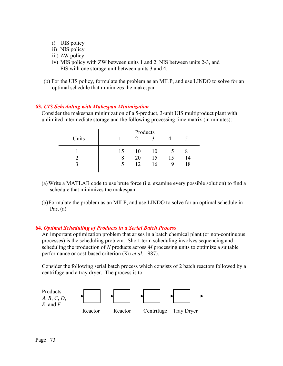- i) UIS policy
- ii) NIS policy
- iii) ZW policy
- iv) MIS policy with ZW between units 1 and 2, NIS between units 2-3, and FIS with one storage unit between units 3 and 4.
- (b) For the UIS policy, formulate the problem as an MILP, and use LINDO to solve for an optimal schedule that minimizes the makespan.

## **63.** *UIS Scheduling with Makespan Minimization*

Consider the makespan minimization of a 5-product, 3-unit UIS multiproduct plant with unlimited intermediate storage and the following processing time matrix (in minutes):

| Units |         |                |                |         |          |
|-------|---------|----------------|----------------|---------|----------|
|       | 15<br>8 | 10<br>20<br>12 | 10<br>15<br>16 | 15<br>9 | 14<br>18 |
|       | 5       |                |                |         |          |

- (a)Write a MATLAB code to use brute force (i.e. examine every possible solution) to find a schedule that minimizes the makespan.
- (b)Formulate the problem as an MILP, and use LINDO to solve for an optimal schedule in Part (a)

## **64.** *Optimal Scheduling of Products in a Serial Batch Process*

An important optimization problem that arises in a batch chemical plant (or non-continuous processes) is the scheduling problem. Short-term scheduling involves sequencing and scheduling the production of *N* products across *M* processing units to optimize a suitable performance or cost-based criterion (Ku *et al.* 1987).

Consider the following serial batch process which consists of 2 batch reactors followed by a centrifuge and a tray dryer. The process is to

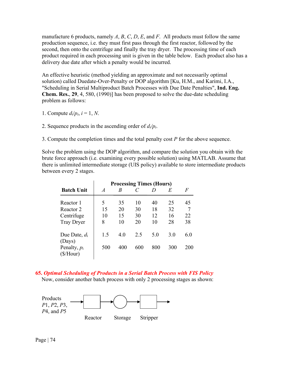manufacture 6 products, namely *A*, *B*, *C*, *D*, *E*, and *F*. All products must follow the same production sequence, i.e. they must first pass through the first reactor, followed by the second, then onto the centrifuge and finally the tray dryer. The processing time of each product required in each processing unit is given in the table below. Each product also has a delivery due date after which a penalty would be incurred.

An effective heuristic (method yielding an approximate and not necessarily optimal solution) called Duedate-Over-Penalty or DOP algorithm [Ku, H.M., and Karimi, I.A., "Scheduling in Serial Multiproduct Batch Processes with Due Date Penalties", **Ind. Eng. Chem. Res.**, **29**, 4, 580, (1990)] has been proposed to solve the due-date scheduling problem as follows:

- 1. Compute *d*i/*pi*, *i* = 1, *N*.
- 2. Sequence products in the ascending order of *di/pi*.

3. Compute the completion times and the total penalty cost *P* for the above sequence.

Solve the problem using the DOP algorithm, and compare the solution you obtain with the brute force approach (i.e. examining every possible solution) using MATLAB. Assume that there is unlimited intermediate storage (UIS policy) available to store intermediate products between every 2 stages.

|                            | <b>Processing Times (Hours)</b> |     |     |     |     |     |
|----------------------------|---------------------------------|-----|-----|-----|-----|-----|
| <b>Batch Unit</b>          | $\overline{A}$                  | B   |     | D   | E   | F   |
| Reactor 1                  | 5                               | 35  | 10  | 40  | 25  | 45  |
| Reactor 2                  | 15                              | 20  | 30  | 18  | 32  |     |
| Centrifuge                 | 10                              | 15  | 30  | 12  | 16  | 22  |
| <b>Tray Dryer</b>          | 8                               | 10  | 20  | 10  | 28  | 38  |
| Due Date, $d_i$<br>(Days)  | 1.5                             | 4.0 | 2.5 | 5.0 | 3.0 | 6.0 |
| Penalty, $p_i$<br>\$/Hour) | 500                             | 400 | 600 | 800 | 300 | 200 |

## **65.** *Optimal Scheduling of Products in a Serial Batch Process with FIS Policy* Now, consider another batch process with only 2 processing stages as shown:

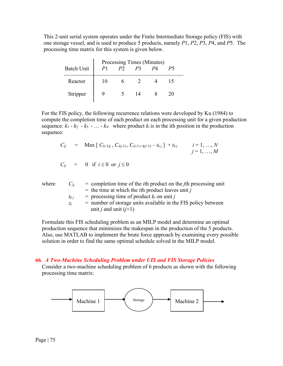This 2-unit serial system operates under the Finite Intermediate Storage policy (FIS) with one storage vessel, and is used to produce 5 products, namely *P*1, *P*2, *P*3, *P*4, and *P*5. The processing time matrix for this system is given below.

| <b>Batch Unit</b> | Processing Times (Minutes)<br>P <sub>3</sub><br>Ρ4 |  |  |  |  |  |
|-------------------|----------------------------------------------------|--|--|--|--|--|
| Reactor           |                                                    |  |  |  |  |  |
| Stripper          |                                                    |  |  |  |  |  |

For the FIS policy, the following recurrence relations were developed by Ku (1984) to compute the completion time of each product on each processing unit for a given production sequence:  $k_1 - k_2 - k_3 - \ldots - k_N$  where product  $k_i$  is in the ith position in the production sequence:

$$
C_{ij}
$$
 = Max [  $C_{(i-1)j}$ ,  $C_{i(j-1)}$ ,  $C_{(i-1-z)(j+1)} - t_{kj}$  ] +  $t_{kj}$    
  $i = 1, ..., N$   
  $j = 1, ..., M$ 

 $C_{ii}$  = 0 if  $i \le 0$  or  $j \le 0$ 

| where | $C_{ii}$  | $=$ completion time of the <i>i</i> th product on the <i>j</i> th processing unit |
|-------|-----------|-----------------------------------------------------------------------------------|
|       |           | $=$ the time at which the <i>i</i> th product leaves unit <i>j</i>                |
|       | $t_{k,i}$ | = processing time of product $k_i$ on unit j                                      |
|       | $Z_i$     | $=$ number of storage units available in the FIS policy between                   |
|       |           | unit <i>j</i> and unit $(j+1)$                                                    |

Formulate this FIS scheduling problem as an MILP model and determine an optimal production sequence that minimizes the makespan in the production of the 5 products. Also, use MATLAB to implement the brute force approach by examining every possible solution in order to find the same optimal schedule solved in the MILP model.

## **66.** *A Two-Machine Scheduling Problem under UIS and FIS Storage Policies*

Consider a two-machine scheduling problem of 6 products as shown with the following processing time matrix: